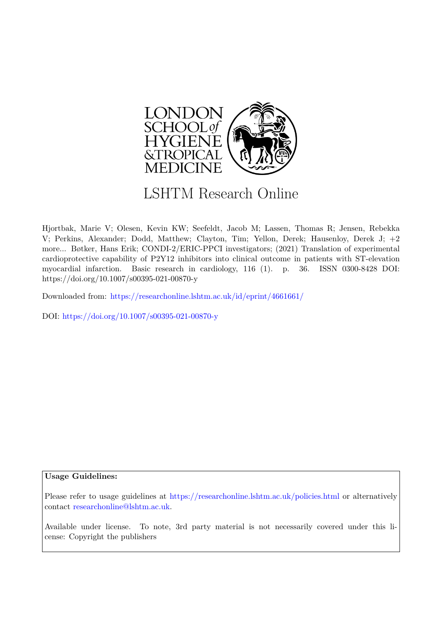

# LSHTM Research Online

Hjortbak, Marie V; Olesen, Kevin KW; Seefeldt, Jacob M; Lassen, Thomas R; Jensen, Rebekka V; Perkins, Alexander; Dodd, Matthew; Clayton, Tim; Yellon, Derek; Hausenloy, Derek J; +2 more... Bøtker, Hans Erik; CONDI-2/ERIC-PPCI investigators; (2021) Translation of experimental cardioprotective capability of P2Y12 inhibitors into clinical outcome in patients with ST-elevation myocardial infarction. Basic research in cardiology, 116 (1). p. 36. ISSN 0300-8428 DOI: https://doi.org/10.1007/s00395-021-00870-y

Downloaded from: <https://researchonline.lshtm.ac.uk/id/eprint/4661661/>

DOI: https://doi.org/10.1007/s00395-021-00870-y

## **Usage Guidelines:**

Please refer to usage guidelines at <https://researchonline.lshtm.ac.uk/policies.html> or alternatively contact [researchonline@lshtm.ac.uk.](mailto:researchonline@lshtm.ac.uk)

Available under license. To note, 3rd party material is not necessarily covered under this license: Copyright the publishers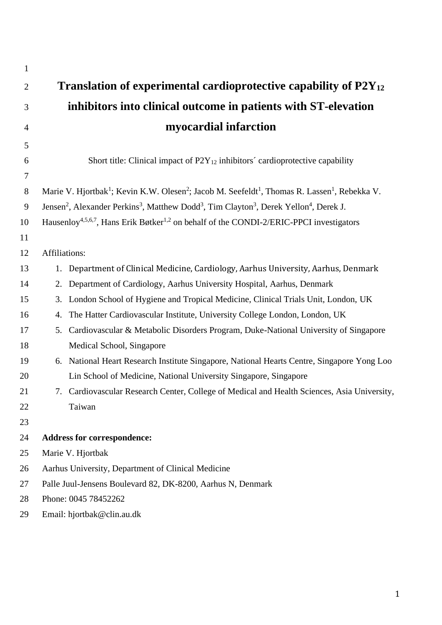| $\mathbf{1}$   |                                                                                                                                                    |
|----------------|----------------------------------------------------------------------------------------------------------------------------------------------------|
| $\overline{2}$ | Translation of experimental cardioprotective capability of $P2V_{12}$                                                                              |
| 3              | inhibitors into clinical outcome in patients with ST-elevation                                                                                     |
| $\overline{4}$ | myocardial infarction                                                                                                                              |
| 5              |                                                                                                                                                    |
| 6              | Short title: Clinical impact of $P2Y_{12}$ inhibitors' cardioprotective capability                                                                 |
| $\tau$         |                                                                                                                                                    |
| 8              | Marie V. Hjortbak <sup>1</sup> ; Kevin K.W. Olesen <sup>2</sup> ; Jacob M. Seefeldt <sup>1</sup> , Thomas R. Lassen <sup>1</sup> , Rebekka V.      |
| $\overline{9}$ | Jensen <sup>2</sup> , Alexander Perkins <sup>3</sup> , Matthew Dodd <sup>3</sup> , Tim Clayton <sup>3</sup> , Derek Yellon <sup>4</sup> , Derek J. |
| 10             | Hausenloy <sup>4,5,6,7</sup> , Hans Erik Bøtker <sup>1,2</sup> on behalf of the CONDI-2/ERIC-PPCI investigators                                    |
| 11             |                                                                                                                                                    |
| 12             | Affiliations:                                                                                                                                      |
| 13             | Department of Clinical Medicine, Cardiology, Aarhus University, Aarhus, Denmark<br>1.                                                              |
| 14             | Department of Cardiology, Aarhus University Hospital, Aarhus, Denmark<br>2.                                                                        |
| 15             | London School of Hygiene and Tropical Medicine, Clinical Trials Unit, London, UK<br>3.                                                             |
| 16             | The Hatter Cardiovascular Institute, University College London, London, UK<br>4.                                                                   |
| 17             | Cardiovascular & Metabolic Disorders Program, Duke-National University of Singapore<br>5.                                                          |
| 18             | Medical School, Singapore                                                                                                                          |
| 19             | 6. National Heart Research Institute Singapore, National Hearts Centre, Singapore Yong Loo                                                         |
| 20             | Lin School of Medicine, National University Singapore, Singapore                                                                                   |
| 21             | 7. Cardiovascular Research Center, College of Medical and Health Sciences, Asia University,                                                        |
| 22             | Taiwan                                                                                                                                             |
| 23             |                                                                                                                                                    |
| 24             | <b>Address for correspondence:</b>                                                                                                                 |
| 25             | Marie V. Hjortbak                                                                                                                                  |
| 26             | Aarhus University, Department of Clinical Medicine                                                                                                 |
| 27             | Palle Juul-Jensens Boulevard 82, DK-8200, Aarhus N, Denmark                                                                                        |
| 28             | Phone: 0045 78452262                                                                                                                               |
| 29             | Email: hjortbak@clin.au.dk                                                                                                                         |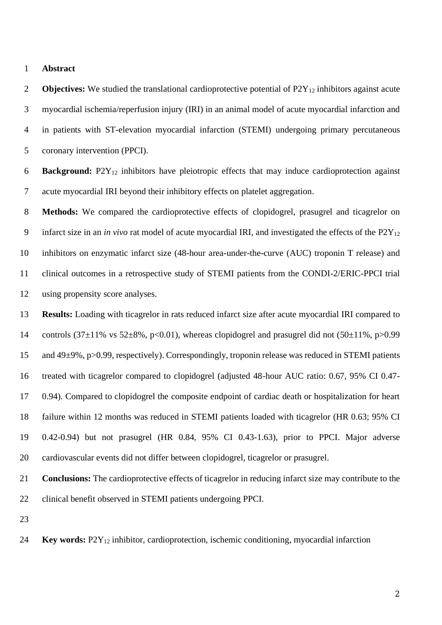#### **Abstract**

**Objectives:** We studied the translational cardioprotective potential of P2Y<sub>12</sub> inhibitors against acute myocardial ischemia/reperfusion injury (IRI) in an animal model of acute myocardial infarction and in patients with ST-elevation myocardial infarction (STEMI) undergoing primary percutaneous coronary intervention (PPCI).

 **Background:** P2Y<sup>12</sup> inhibitors have pleiotropic effects that may induce cardioprotection against acute myocardial IRI beyond their inhibitory effects on platelet aggregation.

 **Methods:** We compared the cardioprotective effects of clopidogrel, prasugrel and ticagrelor on infarct size in an *in vivo* rat model of acute myocardial IRI, and investigated the effects of the P2Y<sup>12</sup> inhibitors on enzymatic infarct size (48-hour area-under-the-curve (AUC) troponin T release) and clinical outcomes in a retrospective study of STEMI patients from the CONDI-2/ERIC-PPCI trial using propensity score analyses.

 **Results:** Loading with ticagrelor in rats reduced infarct size after acute myocardial IRI compared to 14 controls  $(37\pm11\% \text{ vs } 52\pm8\%, \text{ p}<0.01)$ , whereas clopidogrel and prasugrel did not  $(50\pm11\%, \text{ p}>0.99)$  and 49±9%, p>0.99, respectively). Correspondingly, troponin release was reduced in STEMI patients treated with ticagrelor compared to clopidogrel (adjusted 48-hour AUC ratio: 0.67, 95% CI 0.47- 0.94). Compared to clopidogrel the composite endpoint of cardiac death or hospitalization for heart failure within 12 months was reduced in STEMI patients loaded with ticagrelor (HR 0.63; 95% CI 0.42-0.94) but not prasugrel (HR 0.84, 95% CI 0.43-1.63), prior to PPCI. Major adverse cardiovascular events did not differ between clopidogrel, ticagrelor or prasugrel.

 **Conclusions:** The cardioprotective effects of ticagrelor in reducing infarct size may contribute to the clinical benefit observed in STEMI patients undergoing PPCI.

**Key words:** P2Y<sup>12</sup> inhibitor, cardioprotection, ischemic conditioning, myocardial infarction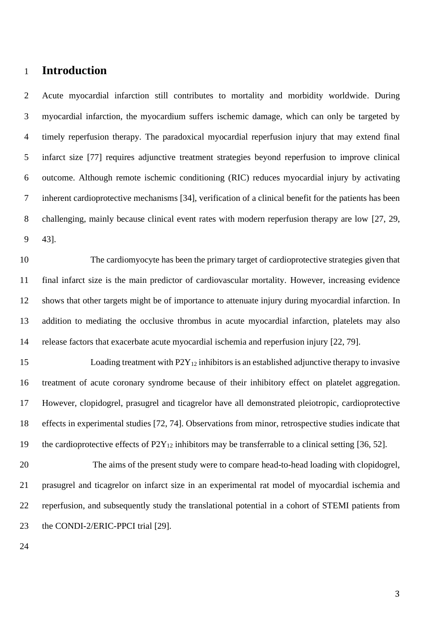# **Introduction**

 Acute myocardial infarction still contributes to mortality and morbidity worldwide. During myocardial infarction, the myocardium suffers ischemic damage, which can only be targeted by timely reperfusion therapy. The paradoxical myocardial reperfusion injury that may extend final infarct size [77] requires adjunctive treatment strategies beyond reperfusion to improve clinical outcome. Although remote ischemic conditioning (RIC) reduces myocardial injury by activating inherent cardioprotective mechanisms [34], verification of a clinical benefit for the patients has been challenging, mainly because clinical event rates with modern reperfusion therapy are low [27, 29, 43].

 The cardiomyocyte has been the primary target of cardioprotective strategies given that final infarct size is the main predictor of cardiovascular mortality. However, increasing evidence shows that other targets might be of importance to attenuate injury during myocardial infarction. In addition to mediating the occlusive thrombus in acute myocardial infarction, platelets may also release factors that exacerbate acute myocardial ischemia and reperfusion injury [22, 79].

15 Loading treatment with  $P2Y_{12}$  inhibitors is an established adjunctive therapy to invasive treatment of acute coronary syndrome because of their inhibitory effect on platelet aggregation. However, clopidogrel, prasugrel and ticagrelor have all demonstrated pleiotropic, cardioprotective effects in experimental studies [72, 74]. Observations from minor, retrospective studies indicate that 19 the cardioprotective effects of  $P2Y_{12}$  inhibitors may be transferrable to a clinical setting [36, 52].

 The aims of the present study were to compare head-to-head loading with clopidogrel, prasugrel and ticagrelor on infarct size in an experimental rat model of myocardial ischemia and reperfusion, and subsequently study the translational potential in a cohort of STEMI patients from 23 the CONDI-2/ERIC-PPCI trial [29].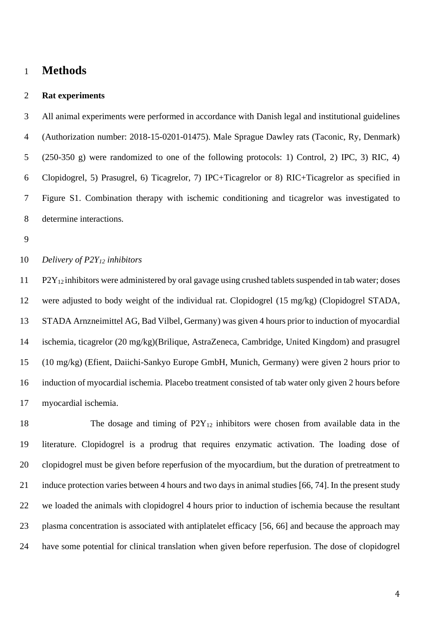# **Methods**

## **Rat experiments**

 All animal experiments were performed in accordance with Danish legal and institutional guidelines (Authorization number: 2018-15-0201-01475). Male Sprague Dawley rats (Taconic, Ry, Denmark) (250-350 g) were randomized to one of the following protocols: 1) Control, 2) IPC, 3) RIC, 4) Clopidogrel, 5) Prasugrel, 6) Ticagrelor, 7) IPC+Ticagrelor or 8) RIC+Ticagrelor as specified in Figure S1. Combination therapy with ischemic conditioning and ticagrelor was investigated to determine interactions.

## *Delivery of P2Y<sup>12</sup> inhibitors*

 P2Y<sub>12</sub> inhibitors were administered by oral gavage using crushed tablets suspended in tab water; doses were adjusted to body weight of the individual rat. Clopidogrel (15 mg/kg) (Clopidogrel STADA, STADA Arnzneimittel AG, Bad Vilbel, Germany) was given 4 hours prior to induction of myocardial ischemia, ticagrelor (20 mg/kg)(Brilique, AstraZeneca, Cambridge, United Kingdom) and prasugrel (10 mg/kg) (Efient, Daiichi-Sankyo Europe GmbH, Munich, Germany) were given 2 hours prior to induction of myocardial ischemia. Placebo treatment consisted of tab water only given 2 hours before myocardial ischemia.

18 The dosage and timing of P2Y<sub>12</sub> inhibitors were chosen from available data in the literature. Clopidogrel is a prodrug that requires enzymatic activation. The loading dose of clopidogrel must be given before reperfusion of the myocardium, but the duration of pretreatment to induce protection varies between 4 hours and two days in animal studies [66, 74]. In the present study we loaded the animals with clopidogrel 4 hours prior to induction of ischemia because the resultant plasma concentration is associated with antiplatelet efficacy [56, 66] and because the approach may have some potential for clinical translation when given before reperfusion. The dose of clopidogrel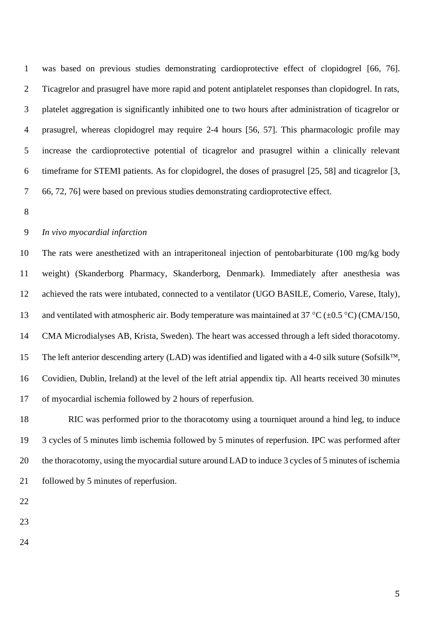was based on previous studies demonstrating cardioprotective effect of clopidogrel [66, 76]. Ticagrelor and prasugrel have more rapid and potent antiplatelet responses than clopidogrel. In rats, platelet aggregation is significantly inhibited one to two hours after administration of ticagrelor or prasugrel, whereas clopidogrel may require 2-4 hours [56, 57]. This pharmacologic profile may increase the cardioprotective potential of ticagrelor and prasugrel within a clinically relevant timeframe for STEMI patients. As for clopidogrel, the doses of prasugrel [25, 58] and ticagrelor [3, 66, 72, 76] were based on previous studies demonstrating cardioprotective effect.

## *In vivo myocardial infarction*

 The rats were anesthetized with an intraperitoneal injection of pentobarbiturate (100 mg/kg body weight) (Skanderborg Pharmacy, Skanderborg, Denmark). Immediately after anesthesia was achieved the rats were intubated, connected to a ventilator (UGO BASILE, Comerio, Varese, Italy), 13 and ventilated with atmospheric air. Body temperature was maintained at 37 °C ( $\pm$ 0.5 °C) (CMA/150, CMA Microdialyses AB, Krista, Sweden). The heart was accessed through a left sided thoracotomy. 15 The left anterior descending artery (LAD) was identified and ligated with a 4-0 silk suture (Sofsilk<sup>TM</sup>, Covidien, Dublin, Ireland) at the level of the left atrial appendix tip. All hearts received 30 minutes of myocardial ischemia followed by 2 hours of reperfusion.

 RIC was performed prior to the thoracotomy using a tourniquet around a hind leg, to induce 3 cycles of 5 minutes limb ischemia followed by 5 minutes of reperfusion. IPC was performed after the thoracotomy, using the myocardial suture around LAD to induce 3 cycles of 5 minutes of ischemia followed by 5 minutes of reperfusion.

- 
- 
-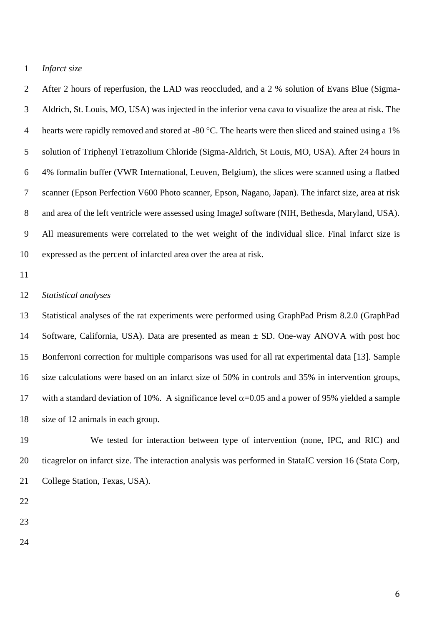#### *Infarct size*

 After 2 hours of reperfusion, the LAD was reoccluded, and a 2 % solution of Evans Blue (Sigma- Aldrich, St. Louis, MO, USA) was injected in the inferior vena cava to visualize the area at risk. The 4 hearts were rapidly removed and stored at -80 °C. The hearts were then sliced and stained using a 1% solution of Triphenyl Tetrazolium Chloride (Sigma-Aldrich, St Louis, MO, USA). After 24 hours in 4% formalin buffer (VWR International, Leuven, Belgium), the slices were scanned using a flatbed scanner (Epson Perfection V600 Photo scanner, Epson, Nagano, Japan). The infarct size, area at risk 8 and area of the left ventricle were assessed using ImageJ software (NIH, Bethesda, Maryland, USA). All measurements were correlated to the wet weight of the individual slice. Final infarct size is expressed as the percent of infarcted area over the area at risk.

#### *Statistical analyses*

 Statistical analyses of the rat experiments were performed using GraphPad Prism 8.2.0 (GraphPad Software, California, USA). Data are presented as mean ± SD. One-way ANOVA with post hoc Bonferroni correction for multiple comparisons was used for all rat experimental data [13]. Sample size calculations were based on an infarct size of 50% in controls and 35% in intervention groups, 17 with a standard deviation of 10%. A significance level  $\alpha$ =0.05 and a power of 95% yielded a sample size of 12 animals in each group.

 We tested for interaction between type of intervention (none, IPC, and RIC) and ticagrelor on infarct size. The interaction analysis was performed in StataIC version 16 (Stata Corp, College Station, Texas, USA).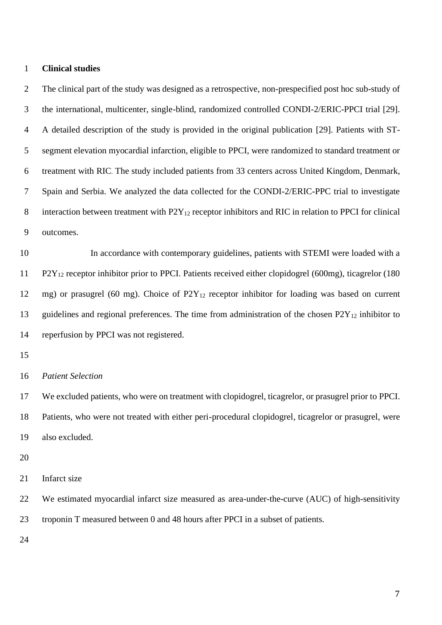#### **Clinical studies**

 The clinical part of the study was designed as a retrospective, non-prespecified post hoc sub-study of the international, multicenter, single-blind, randomized controlled CONDI-2/ERIC-PPCI trial [29]. A detailed description of the study is provided in the original publication [29]. Patients with ST- segment elevation myocardial infarction, eligible to PPCI, were randomized to standard treatment or treatment with RIC. The study included patients from 33 centers across United Kingdom, Denmark, Spain and Serbia. We analyzed the data collected for the CONDI-2/ERIC-PPC trial to investigate 8 interaction between treatment with  $P2Y_{12}$  receptor inhibitors and RIC in relation to PPCI for clinical outcomes.

 In accordance with contemporary guidelines, patients with STEMI were loaded with a P2Y<sup>12</sup> receptor inhibitor prior to PPCI. Patients received either clopidogrel (600mg), ticagrelor (180 mg) or prasugrel (60 mg). Choice of P2Y<sup>12</sup> receptor inhibitor for loading was based on current 13 guidelines and regional preferences. The time from administration of the chosen P2Y<sub>12</sub> inhibitor to reperfusion by PPCI was not registered.

#### *Patient Selection*

 We excluded patients, who were on treatment with clopidogrel, ticagrelor, or prasugrel prior to PPCI. Patients, who were not treated with either peri-procedural clopidogrel, ticagrelor or prasugrel, were also excluded.

Infarct size

We estimated myocardial infarct size measured as area-under-the-curve (AUC) of high-sensitivity

troponin T measured between 0 and 48 hours after PPCI in a subset of patients.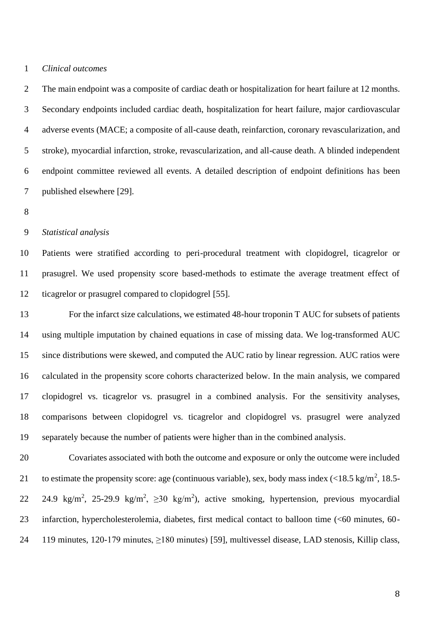#### *Clinical outcomes*

 The main endpoint was a composite of cardiac death or hospitalization for heart failure at 12 months. Secondary endpoints included cardiac death, hospitalization for heart failure, major cardiovascular adverse events (MACE; a composite of all-cause death, reinfarction, coronary revascularization, and stroke), myocardial infarction, stroke, revascularization, and all-cause death. A blinded independent endpoint committee reviewed all events. A detailed description of endpoint definitions has been published elsewhere [29].

## *Statistical analysis*

 Patients were stratified according to peri-procedural treatment with clopidogrel, ticagrelor or prasugrel. We used propensity score based-methods to estimate the average treatment effect of ticagrelor or prasugrel compared to clopidogrel [55].

 For the infarct size calculations, we estimated 48-hour troponin T AUC for subsets of patients using multiple imputation by chained equations in case of missing data. We log-transformed AUC since distributions were skewed, and computed the AUC ratio by linear regression. AUC ratios were calculated in the propensity score cohorts characterized below. In the main analysis, we compared clopidogrel vs. ticagrelor vs. prasugrel in a combined analysis. For the sensitivity analyses, comparisons between clopidogrel vs. ticagrelor and clopidogrel vs. prasugrel were analyzed separately because the number of patients were higher than in the combined analysis.

 Covariates associated with both the outcome and exposure or only the outcome were included 21 to estimate the propensity score: age (continuous variable), sex, body mass index  $\left($  <18.5 kg/m<sup>2</sup>, 18.5-22 24.9 kg/m<sup>2</sup>, 25-29.9 kg/m<sup>2</sup>,  $\geq$ 30 kg/m<sup>2</sup>), active smoking, hypertension, previous myocardial infarction, hypercholesterolemia, diabetes, first medical contact to balloon time (<60 minutes, 60- 119 minutes, 120-179 minutes, ≥180 minutes) [59], multivessel disease, LAD stenosis, Killip class,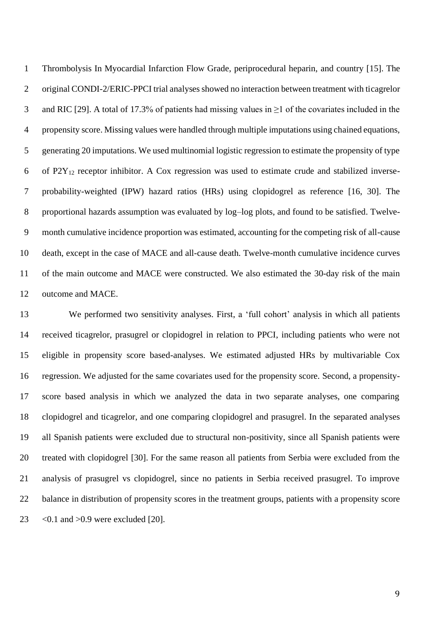Thrombolysis In Myocardial Infarction Flow Grade, periprocedural heparin, and country [15]. The original CONDI-2/ERIC-PPCI trial analyses showed no interaction between treatment with ticagrelor and RIC [29]. A total of 17.3% of patients had missing values in ≥1 of the covariates included in the propensity score. Missing values were handled through multiple imputations using chained equations, generating 20 imputations. We used multinomial logistic regression to estimate the propensity of type 6 of  $P2Y_{12}$  receptor inhibitor. A Cox regression was used to estimate crude and stabilized inverse- probability-weighted (IPW) hazard ratios (HRs) using clopidogrel as reference [16, 30]. The 8 proportional hazards assumption was evaluated by log-log plots, and found to be satisfied. Twelve- month cumulative incidence proportion was estimated, accounting for the competing risk of all-cause death, except in the case of MACE and all-cause death. Twelve-month cumulative incidence curves of the main outcome and MACE were constructed. We also estimated the 30-day risk of the main outcome and MACE.

 We performed two sensitivity analyses. First, a 'full cohort' analysis in which all patients received ticagrelor, prasugrel or clopidogrel in relation to PPCI, including patients who were not eligible in propensity score based-analyses. We estimated adjusted HRs by multivariable Cox regression. We adjusted for the same covariates used for the propensity score. Second, a propensity- score based analysis in which we analyzed the data in two separate analyses, one comparing clopidogrel and ticagrelor, and one comparing clopidogrel and prasugrel. In the separated analyses all Spanish patients were excluded due to structural non-positivity, since all Spanish patients were treated with clopidogrel [30]. For the same reason all patients from Serbia were excluded from the analysis of prasugrel vs clopidogrel, since no patients in Serbia received prasugrel. To improve balance in distribution of propensity scores in the treatment groups, patients with a propensity score <0.1 and >0.9 were excluded [20].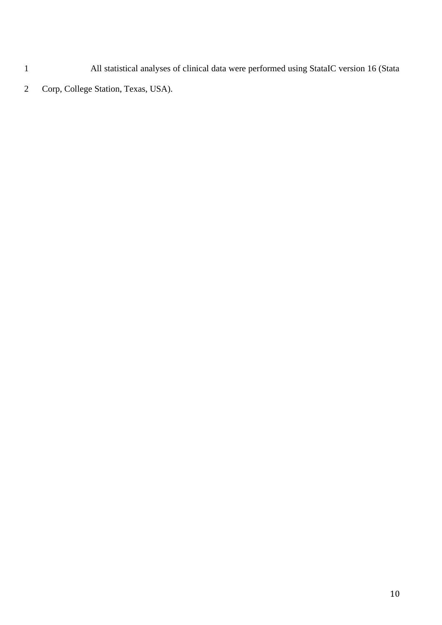All statistical analyses of clinical data were performed using StataIC version 16 (Stata

Corp, College Station, Texas, USA).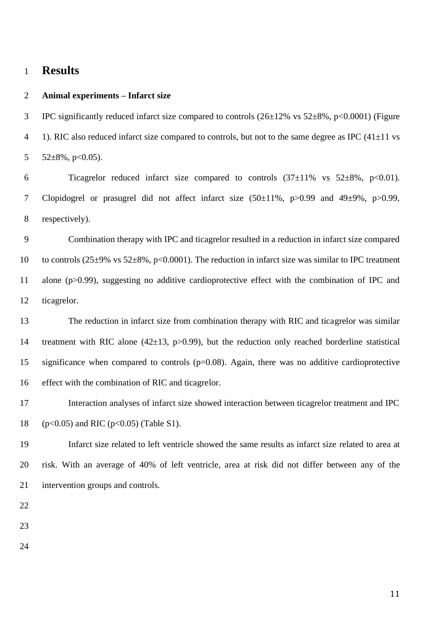## **Results**

## **Animal experiments – Infarct size**

3 IPC significantly reduced infarct size compared to controls  $(26\pm12\% \text{ vs } 52\pm8\%, \text{ p}<0.0001)$  (Figure 4 1). RIC also reduced infarct size compared to controls, but not to the same degree as IPC  $(41\pm11 \text{ vs } 100\text{ s})$ 5  $52\pm8\%$ , p<0.05).

6 Ticagrelor reduced infarct size compared to controls  $(37\pm11\% \text{ vs } 52\pm8\%, \text{ p}<0.01)$ . Clopidogrel or prasugrel did not affect infarct size (50±11%, p>0.99 and 49±9%, p>0.99, respectively).

 Combination therapy with IPC and ticagrelor resulted in a reduction in infarct size compared 10 to controls (25±9% vs 52±8%, p<0.0001). The reduction in infarct size was similar to IPC treatment alone (p>0.99), suggesting no additive cardioprotective effect with the combination of IPC and ticagrelor.

 The reduction in infarct size from combination therapy with RIC and ticagrelor was similar treatment with RIC alone (42±13, p>0.99), but the reduction only reached borderline statistical significance when compared to controls (p=0.08). Again, there was no additive cardioprotective effect with the combination of RIC and ticagrelor.

 Interaction analyses of infarct size showed interaction between ticagrelor treatment and IPC (p<0.05) and RIC (p<0.05) (Table S1).

 Infarct size related to left ventricle showed the same results as infarct size related to area at risk. With an average of 40% of left ventricle, area at risk did not differ between any of the intervention groups and controls.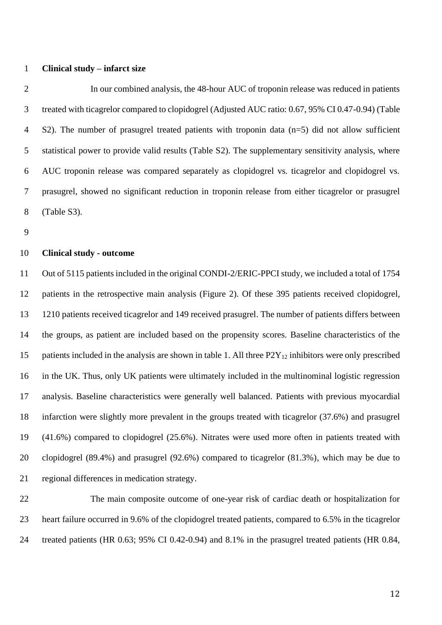#### **Clinical study – infarct size**

 In our combined analysis, the 48-hour AUC of troponin release was reduced in patients treated with ticagrelor compared to clopidogrel (Adjusted AUC ratio: 0.67, 95% CI 0.47-0.94) (Table S2). The number of prasugrel treated patients with troponin data (n=5) did not allow sufficient statistical power to provide valid results (Table S2). The supplementary sensitivity analysis, where AUC troponin release was compared separately as clopidogrel vs. ticagrelor and clopidogrel vs. prasugrel, showed no significant reduction in troponin release from either ticagrelor or prasugrel (Table S3).

## **Clinical study - outcome**

 Out of 5115 patients included in the original CONDI-2/ERIC-PPCI study, we included a total of 1754 patients in the retrospective main analysis (Figure 2). Of these 395 patients received clopidogrel, 1210 patients received ticagrelor and 149 received prasugrel. The number of patients differs between the groups, as patient are included based on the propensity scores. Baseline characteristics of the 15 patients included in the analysis are shown in table 1. All three  $P2Y_{12}$  inhibitors were only prescribed in the UK. Thus, only UK patients were ultimately included in the multinominal logistic regression analysis. Baseline characteristics were generally well balanced. Patients with previous myocardial infarction were slightly more prevalent in the groups treated with ticagrelor (37.6%) and prasugrel (41.6%) compared to clopidogrel (25.6%). Nitrates were used more often in patients treated with clopidogrel (89.4%) and prasugrel (92.6%) compared to ticagrelor (81.3%), which may be due to regional differences in medication strategy.

 The main composite outcome of one-year risk of cardiac death or hospitalization for heart failure occurred in 9.6% of the clopidogrel treated patients, compared to 6.5% in the ticagrelor treated patients (HR 0.63; 95% CI 0.42-0.94) and 8.1% in the prasugrel treated patients (HR 0.84,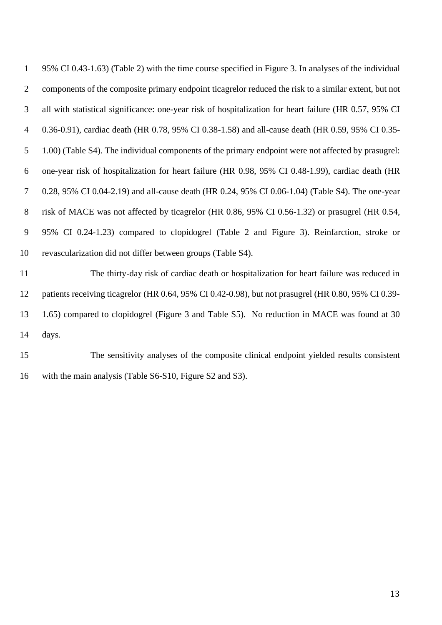95% CI 0.43-1.63) (Table 2) with the time course specified in Figure 3. In analyses of the individual components of the composite primary endpoint ticagrelor reduced the risk to a similar extent, but not all with statistical significance: one-year risk of hospitalization for heart failure (HR 0.57, 95% CI 0.36-0.91), cardiac death (HR 0.78, 95% CI 0.38-1.58) and all-cause death (HR 0.59, 95% CI 0.35- 1.00) (Table S4). The individual components of the primary endpoint were not affected by prasugrel: one-year risk of hospitalization for heart failure (HR 0.98, 95% CI 0.48-1.99), cardiac death (HR 0.28, 95% CI 0.04-2.19) and all-cause death (HR 0.24, 95% CI 0.06-1.04) (Table S4). The one-year risk of MACE was not affected by ticagrelor (HR 0.86, 95% CI 0.56-1.32) or prasugrel (HR 0.54, 95% CI 0.24-1.23) compared to clopidogrel (Table 2 and Figure 3). Reinfarction, stroke or revascularization did not differ between groups (Table S4).

 The thirty-day risk of cardiac death or hospitalization for heart failure was reduced in patients receiving ticagrelor (HR 0.64, 95% CI 0.42-0.98), but not prasugrel (HR 0.80, 95% CI 0.39- 1.65) compared to clopidogrel (Figure 3 and Table S5). No reduction in MACE was found at 30 days.

 The sensitivity analyses of the composite clinical endpoint yielded results consistent with the main analysis (Table S6-S10, Figure S2 and S3).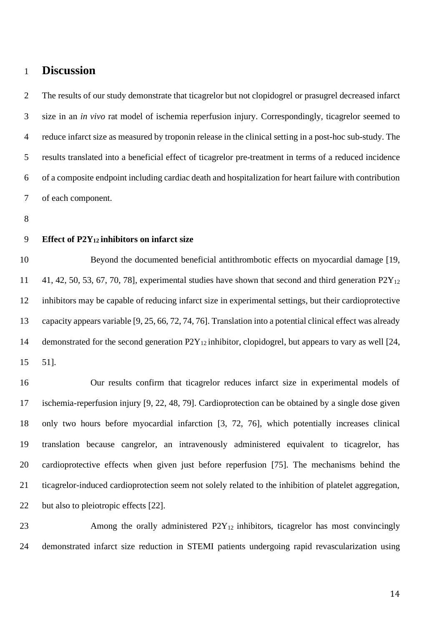# **Discussion**

 The results of our study demonstrate that ticagrelor but not clopidogrel or prasugrel decreased infarct size in an *in vivo* rat model of ischemia reperfusion injury. Correspondingly, ticagrelor seemed to reduce infarct size as measured by troponin release in the clinical setting in a post-hoc sub-study. The results translated into a beneficial effect of ticagrelor pre-treatment in terms of a reduced incidence of a composite endpoint including cardiac death and hospitalization for heart failure with contribution of each component.

## **Effect of P2Y12 inhibitors on infarct size**

 Beyond the documented beneficial antithrombotic effects on myocardial damage [19, 11 41, 42, 50, 53, 67, 70, 78], experimental studies have shown that second and third generation  $P2Y_{12}$  inhibitors may be capable of reducing infarct size in experimental settings, but their cardioprotective capacity appears variable [9, 25, 66, 72, 74, 76]. Translation into a potential clinical effect was already 14 demonstrated for the second generation  $P2Y_{12}$  inhibitor, clopidogrel, but appears to vary as well [24, 51].

 Our results confirm that ticagrelor reduces infarct size in experimental models of ischemia-reperfusion injury [9, 22, 48, 79]. Cardioprotection can be obtained by a single dose given only two hours before myocardial infarction [3, 72, 76], which potentially increases clinical translation because cangrelor, an intravenously administered equivalent to ticagrelor, has cardioprotective effects when given just before reperfusion [75]. The mechanisms behind the ticagrelor-induced cardioprotection seem not solely related to the inhibition of platelet aggregation, 22 but also to pleiotropic effects [22].

23 Among the orally administered  $P2Y_{12}$  inhibitors, ticagrelor has most convincingly demonstrated infarct size reduction in STEMI patients undergoing rapid revascularization using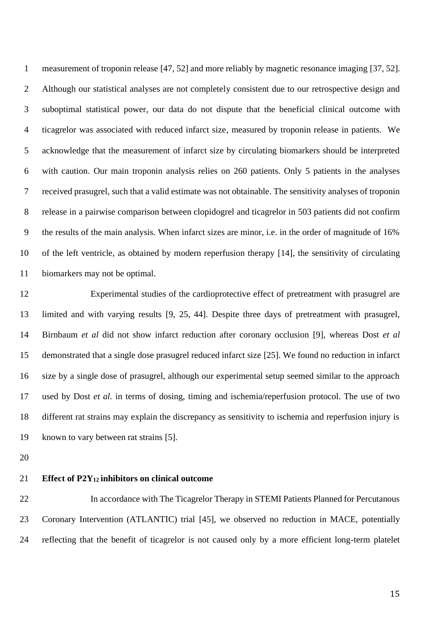measurement of troponin release [47, 52] and more reliably by magnetic resonance imaging [37, 52]. Although our statistical analyses are not completely consistent due to our retrospective design and suboptimal statistical power, our data do not dispute that the beneficial clinical outcome with ticagrelor was associated with reduced infarct size, measured by troponin release in patients. We acknowledge that the measurement of infarct size by circulating biomarkers should be interpreted with caution. Our main troponin analysis relies on 260 patients. Only 5 patients in the analyses received prasugrel, such that a valid estimate was not obtainable. The sensitivity analyses of troponin release in a pairwise comparison between clopidogrel and ticagrelor in 503 patients did not confirm the results of the main analysis. When infarct sizes are minor, i.e. in the order of magnitude of 16% of the left ventricle, as obtained by modern reperfusion therapy [14], the sensitivity of circulating biomarkers may not be optimal.

 Experimental studies of the cardioprotective effect of pretreatment with prasugrel are limited and with varying results [9, 25, 44]. Despite three days of pretreatment with prasugrel, Birnbaum *et al* did not show infarct reduction after coronary occlusion [9], whereas Dost *et al* demonstrated that a single dose prasugrel reduced infarct size [25]. We found no reduction in infarct size by a single dose of prasugrel, although our experimental setup seemed similar to the approach used by Dost *et al.* in terms of dosing, timing and ischemia/reperfusion protocol. The use of two different rat strains may explain the discrepancy as sensitivity to ischemia and reperfusion injury is known to vary between rat strains [5].

#### **Effect of P2Y12 inhibitors on clinical outcome**

 In accordance with The Ticagrelor Therapy in STEMI Patients Planned for Percutanous Coronary Intervention (ATLANTIC) trial [45], we observed no reduction in MACE, potentially reflecting that the benefit of ticagrelor is not caused only by a more efficient long-term platelet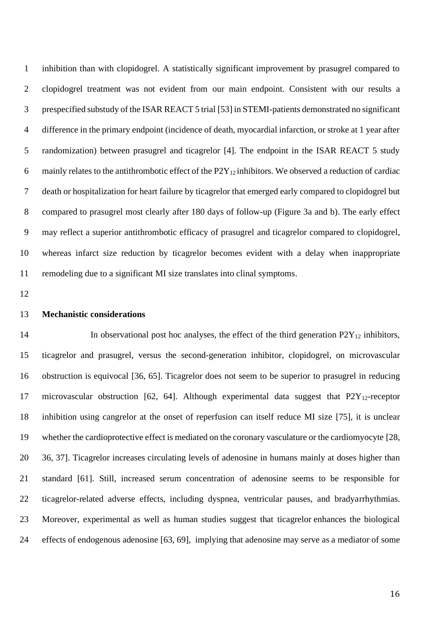inhibition than with clopidogrel. A statistically significant improvement by prasugrel compared to clopidogrel treatment was not evident from our main endpoint. Consistent with our results a prespecified substudy of the ISAR REACT 5 trial [53] in STEMI-patients demonstrated no significant difference in the primary endpoint (incidence of death, myocardial infarction, or stroke at 1 year after randomization) between prasugrel and ticagrelor [4]. The endpoint in the ISAR REACT 5 study 6 mainly relates to the antithrombotic effect of the  $P2Y_{12}$  inhibitors. We observed a reduction of cardiac death or hospitalization for heart failure by ticagrelor that emerged early compared to clopidogrel but compared to prasugrel most clearly after 180 days of follow-up (Figure 3a and b). The early effect may reflect a superior antithrombotic efficacy of prasugrel and ticagrelor compared to clopidogrel, whereas infarct size reduction by ticagrelor becomes evident with a delay when inappropriate remodeling due to a significant MI size translates into clinal symptoms.

#### **Mechanistic considerations**

14 In observational post hoc analyses, the effect of the third generation  $P2Y_{12}$  inhibitors, ticagrelor and prasugrel, versus the second-generation inhibitor, clopidogrel, on microvascular obstruction is equivocal [36, 65]. Ticagrelor does not seem to be superior to prasugrel in reducing 17 microvascular obstruction [62, 64]. Although experimental data suggest that  $P2Y_{12}$ -receptor inhibition using cangrelor at the onset of reperfusion can itself reduce MI size [75], it is unclear whether the cardioprotective effect is mediated on the coronary vasculature or the cardiomyocyte [28, 36, 37]. Ticagrelor increases circulating levels of adenosine in humans mainly at doses higher than standard [61]. Still, increased serum concentration of adenosine seems to be responsible for ticagrelor-related adverse effects, including dyspnea, ventricular pauses, and bradyarrhythmias. Moreover, experimental as well as human studies suggest that ticagrelor enhances the biological effects of endogenous adenosine [63, 69], implying that adenosine may serve as a mediator of some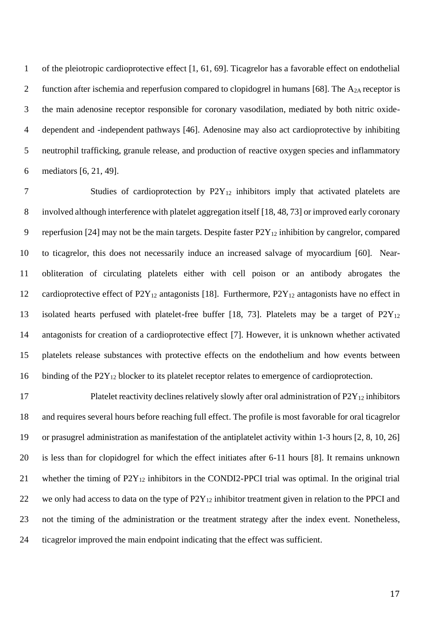of the pleiotropic cardioprotective effect [1, 61, 69]. Ticagrelor has a favorable effect on endothelial 2 function after ischemia and reperfusion compared to clopidogrel in humans [68]. The  $A_{2A}$  receptor is the main adenosine receptor responsible for coronary vasodilation, mediated by both nitric oxide- dependent and -independent pathways [46]. Adenosine may also act cardioprotective by inhibiting neutrophil trafficking, granule release, and production of reactive oxygen species and inflammatory mediators [6, 21, 49].

7 Studies of cardioprotection by P2Y<sub>12</sub> inhibitors imply that activated platelets are involved although interference with platelet aggregation itself [18, 48, 73] or improved early coronary 9 reperfusion [24] may not be the main targets. Despite faster  $P2Y_{12}$  inhibition by cangrelor, compared to ticagrelor, this does not necessarily induce an increased salvage of myocardium [60]. Near- obliteration of circulating platelets either with cell poison or an antibody abrogates the 12 cardioprotective effect of P2Y<sub>12</sub> antagonists [18]. Furthermore, P2Y<sub>12</sub> antagonists have no effect in 13 isolated hearts perfused with platelet-free buffer [18, 73]. Platelets may be a target of P2Y<sub>12</sub> antagonists for creation of a cardioprotective effect [7]. However, it is unknown whether activated platelets release substances with protective effects on the endothelium and how events between 16 binding of the P2Y<sub>12</sub> blocker to its platelet receptor relates to emergence of cardioprotection.

17 Platelet reactivity declines relatively slowly after oral administration of P2Y<sub>12</sub> inhibitors and requires several hours before reaching full effect. The profile is most favorable for oral ticagrelor or prasugrel administration as manifestation of the antiplatelet activity within 1-3 hours [2, 8, 10, 26] is less than for clopidogrel for which the effect initiates after 6-11 hours [8]. It remains unknown 21 whether the timing of  $P2Y_{12}$  inhibitors in the CONDI2-PPCI trial was optimal. In the original trial 22 we only had access to data on the type of  $P2Y_{12}$  inhibitor treatment given in relation to the PPCI and not the timing of the administration or the treatment strategy after the index event. Nonetheless, ticagrelor improved the main endpoint indicating that the effect was sufficient.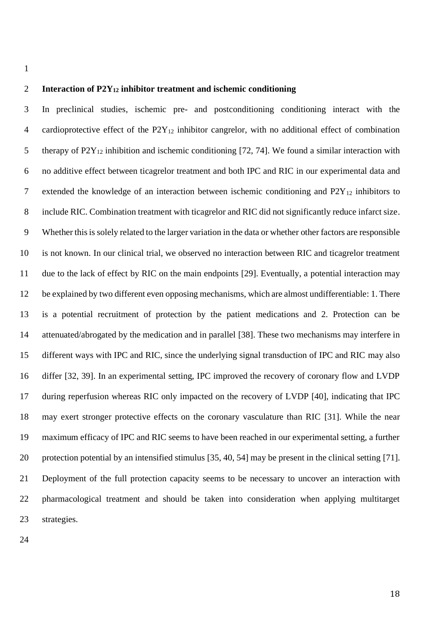## **Interaction of P2Y<sup>12</sup> inhibitor treatment and ischemic conditioning**

 In preclinical studies, ischemic pre- and postconditioning conditioning interact with the cardioprotective effect of the P2Y<sup>12</sup> inhibitor cangrelor, with no additional effect of combination 5 therapy of  $P2Y_{12}$  inhibition and ischemic conditioning [72, 74]. We found a similar interaction with no additive effect between ticagrelor treatment and both IPC and RIC in our experimental data and 7 extended the knowledge of an interaction between ischemic conditioning and  $P2Y_{12}$  inhibitors to include RIC. Combination treatment with ticagrelor and RIC did not significantly reduce infarct size. Whether this is solely related to the larger variation in the data or whether other factors are responsible is not known. In our clinical trial, we observed no interaction between RIC and ticagrelor treatment due to the lack of effect by RIC on the main endpoints [29]. Eventually, a potential interaction may be explained by two different even opposing mechanisms, which are almost undifferentiable: 1. There is a potential recruitment of protection by the patient medications and 2. Protection can be attenuated/abrogated by the medication and in parallel [38]. These two mechanisms may interfere in different ways with IPC and RIC, since the underlying signal transduction of IPC and RIC may also differ [32, 39]. In an experimental setting, IPC improved the recovery of coronary flow and LVDP during reperfusion whereas RIC only impacted on the recovery of LVDP [40], indicating that IPC may exert stronger protective effects on the coronary vasculature than RIC [31]. While the near maximum efficacy of IPC and RIC seems to have been reached in our experimental setting, a further protection potential by an intensified stimulus [35, 40, 54] may be present in the clinical setting [71]. Deployment of the full protection capacity seems to be necessary to uncover an interaction with pharmacological treatment and should be taken into consideration when applying multitarget strategies.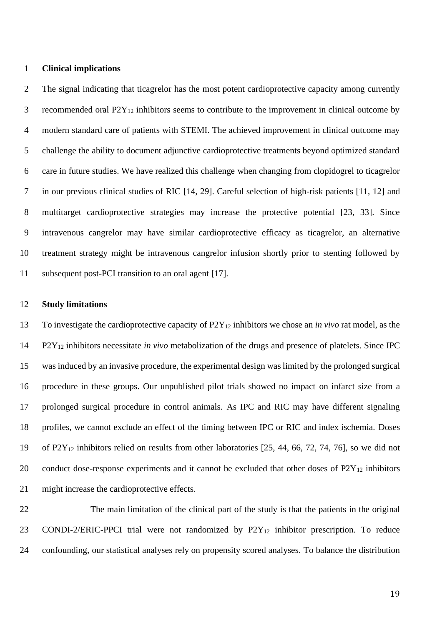#### **Clinical implications**

 The signal indicating that ticagrelor has the most potent cardioprotective capacity among currently 3 recommended oral  $P2Y_{12}$  inhibitors seems to contribute to the improvement in clinical outcome by modern standard care of patients with STEMI. The achieved improvement in clinical outcome may challenge the ability to document adjunctive cardioprotective treatments beyond optimized standard care in future studies. We have realized this challenge when changing from clopidogrel to ticagrelor in our previous clinical studies of RIC [14, 29]. Careful selection of high-risk patients [11, 12] and multitarget cardioprotective strategies may increase the protective potential [23, 33]. Since intravenous cangrelor may have similar cardioprotective efficacy as ticagrelor, an alternative treatment strategy might be intravenous cangrelor infusion shortly prior to stenting followed by subsequent post-PCI transition to an oral agent [17].

#### **Study limitations**

 To investigate the cardioprotective capacity of P2Y<sup>12</sup> inhibitors we chose an *in vivo* rat model, as the P2Y<sup>12</sup> inhibitors necessitate *in vivo* metabolization of the drugs and presence of platelets. Since IPC was induced by an invasive procedure, the experimental design was limited by the prolonged surgical procedure in these groups. Our unpublished pilot trials showed no impact on infarct size from a prolonged surgical procedure in control animals. As IPC and RIC may have different signaling profiles, we cannot exclude an effect of the timing between IPC or RIC and index ischemia. Doses of P2Y<sup>12</sup> inhibitors relied on results from other laboratories [25, 44, 66, 72, 74, 76], so we did not 20 conduct dose-response experiments and it cannot be excluded that other doses of  $P2Y_{12}$  inhibitors might increase the cardioprotective effects.

 The main limitation of the clinical part of the study is that the patients in the original 23 CONDI-2/ERIC-PPCI trial were not randomized by P2Y<sub>12</sub> inhibitor prescription. To reduce confounding, our statistical analyses rely on propensity scored analyses. To balance the distribution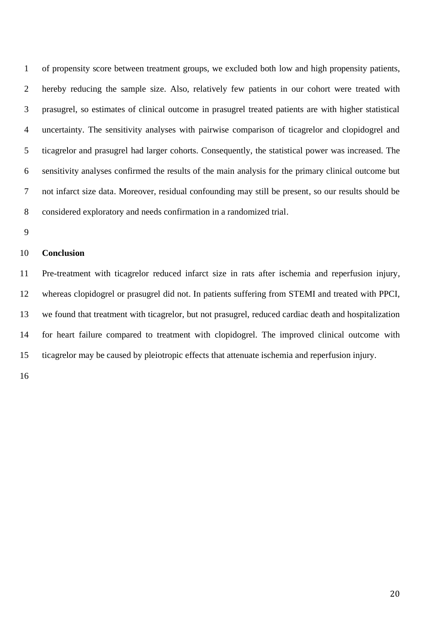of propensity score between treatment groups, we excluded both low and high propensity patients, hereby reducing the sample size. Also, relatively few patients in our cohort were treated with prasugrel, so estimates of clinical outcome in prasugrel treated patients are with higher statistical uncertainty. The sensitivity analyses with pairwise comparison of ticagrelor and clopidogrel and ticagrelor and prasugrel had larger cohorts. Consequently, the statistical power was increased. The sensitivity analyses confirmed the results of the main analysis for the primary clinical outcome but not infarct size data. Moreover, residual confounding may still be present, so our results should be considered exploratory and needs confirmation in a randomized trial.

## **Conclusion**

 Pre-treatment with ticagrelor reduced infarct size in rats after ischemia and reperfusion injury, whereas clopidogrel or prasugrel did not. In patients suffering from STEMI and treated with PPCI, we found that treatment with ticagrelor, but not prasugrel, reduced cardiac death and hospitalization for heart failure compared to treatment with clopidogrel. The improved clinical outcome with ticagrelor may be caused by pleiotropic effects that attenuate ischemia and reperfusion injury.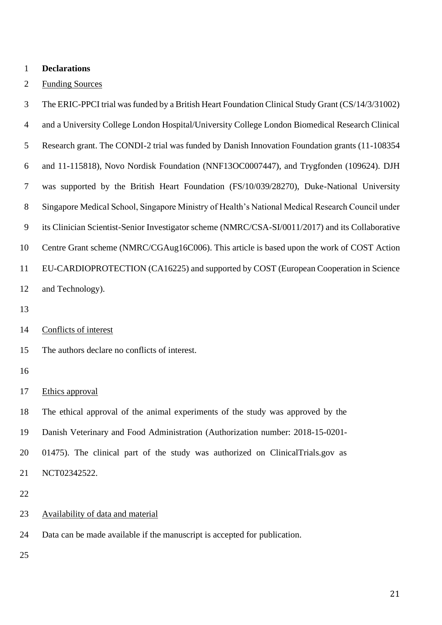#### **Declarations**

#### Funding Sources

 The ERIC-PPCI trial was funded by a British Heart Foundation Clinical Study Grant (CS/14/3/31002) and a University College London Hospital/University College London Biomedical Research Clinical Research grant. The CONDI-2 trial was funded by Danish Innovation Foundation grants (11-108354 and 11-115818), Novo Nordisk Foundation (NNF13OC0007447), and Trygfonden (109624). DJH was supported by the British Heart Foundation (FS/10/039/28270), Duke-National University Singapore Medical School, Singapore Ministry of Health's National Medical Research Council under its Clinician Scientist-Senior Investigator scheme (NMRC/CSA-SI/0011/2017) and its Collaborative Centre Grant scheme (NMRC/CGAug16C006). This article is based upon the work of COST Action EU-CARDIOPROTECTION (CA16225) and supported by COST (European Cooperation in Science and Technology).

- 
- Conflicts of interest
- The authors declare no conflicts of interest.

#### 

Ethics approval

 The ethical approval of the animal experiments of the study was approved by the Danish Veterinary and Food Administration (Authorization number: 2018-15-0201- 01475). The clinical part of the study was authorized on ClinicalTrials.gov as NCT02342522.

- 
- Availability of data and material
- Data can be made available if the manuscript is accepted for publication.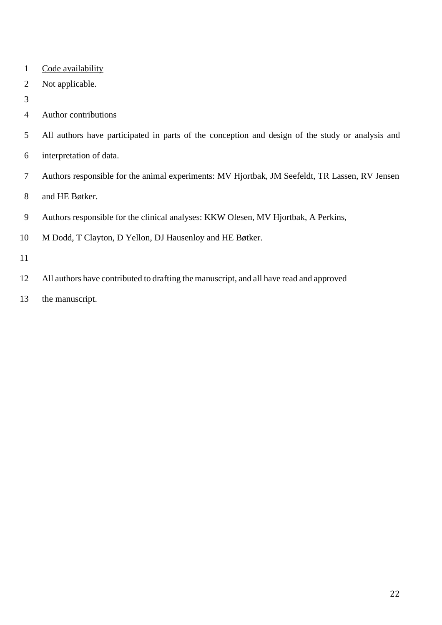- 1 Code availability
- Not applicable.
- 
- Author contributions
- All authors have participated in parts of the conception and design of the study or analysis and
- interpretation of data.
- Authors responsible for the animal experiments: MV Hjortbak, JM Seefeldt, TR Lassen, RV Jensen
- and HE Bøtker.
- Authors responsible for the clinical analyses: KKW Olesen, MV Hjortbak, A Perkins,
- M Dodd, T Clayton, D Yellon, DJ Hausenloy and HE Bøtker.
- 
- All authors have contributed to drafting the manuscript, and all have read and approved
- the manuscript.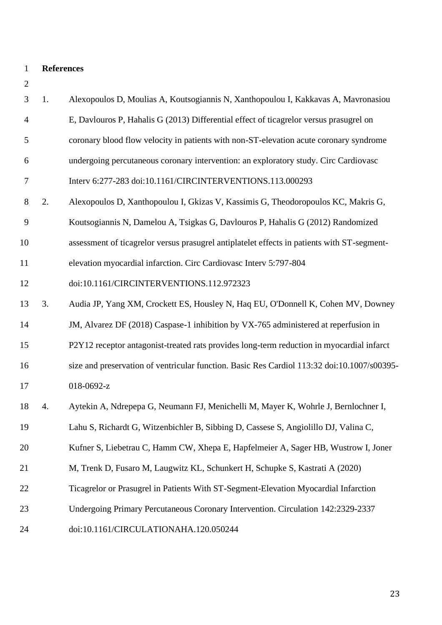| 3              | 1. | Alexopoulos D, Moulias A, Koutsogiannis N, Xanthopoulou I, Kakkavas A, Mavronasiou          |
|----------------|----|---------------------------------------------------------------------------------------------|
| $\overline{4}$ |    | E, Davlouros P, Hahalis G (2013) Differential effect of ticagrelor versus prasugrel on      |
| 5              |    | coronary blood flow velocity in patients with non-ST-elevation acute coronary syndrome      |
| 6              |    | undergoing percutaneous coronary intervention: an exploratory study. Circ Cardiovasc        |
| $\tau$         |    | Interv 6:277-283 doi:10.1161/CIRCINTERVENTIONS.113.000293                                   |
| $8\,$          | 2. | Alexopoulos D, Xanthopoulou I, Gkizas V, Kassimis G, Theodoropoulos KC, Makris G,           |
| 9              |    | Koutsogiannis N, Damelou A, Tsigkas G, Davlouros P, Hahalis G (2012) Randomized             |
| 10             |    | assessment of ticagrelor versus prasugrel antiplatelet effects in patients with ST-segment- |
| 11             |    | elevation myocardial infarction. Circ Cardiovasc Interv 5:797-804                           |
| 12             |    | doi:10.1161/CIRCINTERVENTIONS.112.972323                                                    |
| 13             | 3. | Audia JP, Yang XM, Crockett ES, Housley N, Haq EU, O'Donnell K, Cohen MV, Downey            |
| 14             |    | JM, Alvarez DF (2018) Caspase-1 inhibition by VX-765 administered at reperfusion in         |
| 15             |    | P2Y12 receptor antagonist-treated rats provides long-term reduction in myocardial infarct   |
| 16             |    | size and preservation of ventricular function. Basic Res Cardiol 113:32 doi:10.1007/s00395- |
| 17             |    | 018-0692-z                                                                                  |
| 18             | 4. | Aytekin A, Ndrepepa G, Neumann FJ, Menichelli M, Mayer K, Wohrle J, Bernlochner I,          |
| 19             |    | Lahu S, Richardt G, Witzenbichler B, Sibbing D, Cassese S, Angiolillo DJ, Valina C,         |
| 20             |    | Kufner S, Liebetrau C, Hamm CW, Xhepa E, Hapfelmeier A, Sager HB, Wustrow I, Joner          |
| 21             |    | M, Trenk D, Fusaro M, Laugwitz KL, Schunkert H, Schupke S, Kastrati A (2020)                |
| 22             |    | Ticagrelor or Prasugrel in Patients With ST-Segment-Elevation Myocardial Infarction         |
| 23             |    | Undergoing Primary Percutaneous Coronary Intervention. Circulation 142:2329-2337            |
| 24             |    | doi:10.1161/CIRCULATIONAHA.120.050244                                                       |
|                |    |                                                                                             |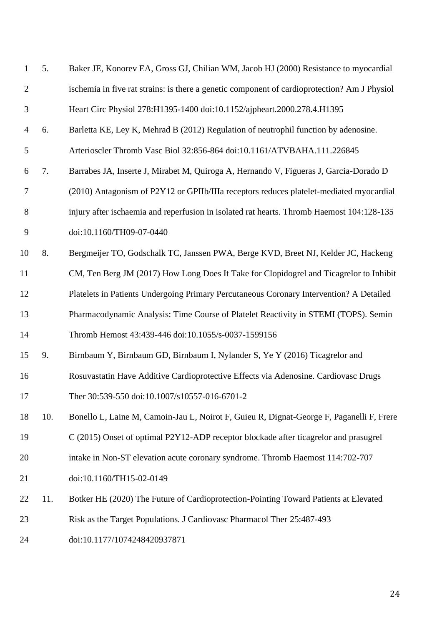| $\mathbf{1}$   | 5.  | Baker JE, Konorev EA, Gross GJ, Chilian WM, Jacob HJ (2000) Resistance to myocardial         |
|----------------|-----|----------------------------------------------------------------------------------------------|
| $\overline{2}$ |     | ischemia in five rat strains: is there a genetic component of cardioprotection? Am J Physiol |
| 3              |     | Heart Circ Physiol 278:H1395-1400 doi:10.1152/ajpheart.2000.278.4.H1395                      |
| $\overline{4}$ | 6.  | Barletta KE, Ley K, Mehrad B (2012) Regulation of neutrophil function by adenosine.          |
| 5              |     | Arterioscler Thromb Vasc Biol 32:856-864 doi:10.1161/ATVBAHA.111.226845                      |
| 6              | 7.  | Barrabes JA, Inserte J, Mirabet M, Quiroga A, Hernando V, Figueras J, Garcia-Dorado D        |
| $\tau$         |     | (2010) Antagonism of P2Y12 or GPIIb/IIIa receptors reduces platelet-mediated myocardial      |
| 8              |     | injury after ischaemia and reperfusion in isolated rat hearts. Thromb Haemost 104:128-135    |
| 9              |     | doi:10.1160/TH09-07-0440                                                                     |
| 10             | 8.  | Bergmeijer TO, Godschalk TC, Janssen PWA, Berge KVD, Breet NJ, Kelder JC, Hackeng            |
| 11             |     | CM, Ten Berg JM (2017) How Long Does It Take for Clopidogrel and Ticagrelor to Inhibit       |
| 12             |     | Platelets in Patients Undergoing Primary Percutaneous Coronary Intervention? A Detailed      |
| 13             |     | Pharmacodynamic Analysis: Time Course of Platelet Reactivity in STEMI (TOPS). Semin          |
| 14             |     | Thromb Hemost 43:439-446 doi:10.1055/s-0037-1599156                                          |
| 15             | 9.  | Birnbaum Y, Birnbaum GD, Birnbaum I, Nylander S, Ye Y (2016) Ticagrelor and                  |
| 16             |     | Rosuvastatin Have Additive Cardioprotective Effects via Adenosine. Cardiovasc Drugs          |
| 17             |     | Ther 30:539-550 doi:10.1007/s10557-016-6701-2                                                |
| 18             | 10. | Bonello L, Laine M, Camoin-Jau L, Noirot F, Guieu R, Dignat-George F, Paganelli F, Frere     |
| 19             |     | C (2015) Onset of optimal P2Y12-ADP receptor blockade after ticagrelor and prasugrel         |
| 20             |     | intake in Non-ST elevation acute coronary syndrome. Thromb Haemost 114:702-707               |
| 21             |     | doi:10.1160/TH15-02-0149                                                                     |
| 22             | 11. | Botker HE (2020) The Future of Cardioprotection-Pointing Toward Patients at Elevated         |
| 23             |     | Risk as the Target Populations. J Cardiovasc Pharmacol Ther 25:487-493                       |
| 24             |     | doi:10.1177/1074248420937871                                                                 |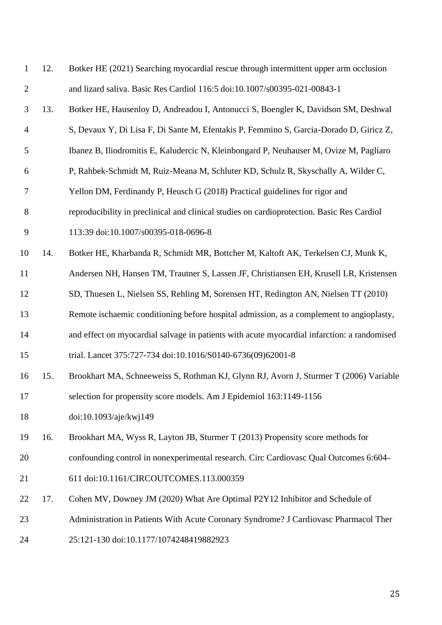| $\mathbf{1}$   | 12. | Botker HE (2021) Searching myocardial rescue through intermittent upper arm occlusion       |
|----------------|-----|---------------------------------------------------------------------------------------------|
| $\overline{2}$ |     | and lizard saliva. Basic Res Cardiol 116:5 doi:10.1007/s00395-021-00843-1                   |
| 3              | 13. | Botker HE, Hausenloy D, Andreadou I, Antonucci S, Boengler K, Davidson SM, Deshwal          |
| $\overline{4}$ |     | S, Devaux Y, Di Lisa F, Di Sante M, Efentakis P, Femmino S, Garcia-Dorado D, Giricz Z,      |
| 5              |     | Ibanez B, Iliodromitis E, Kaludercic N, Kleinbongard P, Neuhauser M, Ovize M, Pagliaro      |
| 6              |     | P, Rahbek-Schmidt M, Ruiz-Meana M, Schluter KD, Schulz R, Skyschally A, Wilder C,           |
| 7              |     | Yellon DM, Ferdinandy P, Heusch G (2018) Practical guidelines for rigor and                 |
| 8              |     | reproducibility in preclinical and clinical studies on cardioprotection. Basic Res Cardiol  |
| 9              |     | 113:39 doi:10.1007/s00395-018-0696-8                                                        |
| 10             | 14. | Botker HE, Kharbanda R, Schmidt MR, Bottcher M, Kaltoft AK, Terkelsen CJ, Munk K,           |
| 11             |     | Andersen NH, Hansen TM, Trautner S, Lassen JF, Christiansen EH, Krusell LR, Kristensen      |
| 12             |     | SD, Thuesen L, Nielsen SS, Rehling M, Sorensen HT, Redington AN, Nielsen TT (2010)          |
| 13             |     | Remote ischaemic conditioning before hospital admission, as a complement to angioplasty,    |
| 14             |     | and effect on myocardial salvage in patients with acute myocardial infarction: a randomised |
| 15             |     | trial. Lancet 375:727-734 doi:10.1016/S0140-6736(09)62001-8                                 |
| 16             | 15. | Brookhart MA, Schneeweiss S, Rothman KJ, Glynn RJ, Avorn J, Sturmer T (2006) Variable       |
| 17             |     | selection for propensity score models. Am J Epidemiol 163:1149-1156                         |
| 18             |     | doi:10.1093/aje/kwj149                                                                      |
| 19             | 16. | Brookhart MA, Wyss R, Layton JB, Sturmer T (2013) Propensity score methods for              |
| 20             |     | confounding control in nonexperimental research. Circ Cardiovasc Qual Outcomes 6:604-       |
| 21             |     | 611 doi:10.1161/CIRCOUTCOMES.113.000359                                                     |
| 22             | 17. | Cohen MV, Downey JM (2020) What Are Optimal P2Y12 Inhibitor and Schedule of                 |
| 23             |     | Administration in Patients With Acute Coronary Syndrome? J Cardiovasc Pharmacol Ther        |
| 24             |     | 25:121-130 doi:10.1177/1074248419882923                                                     |
|                |     |                                                                                             |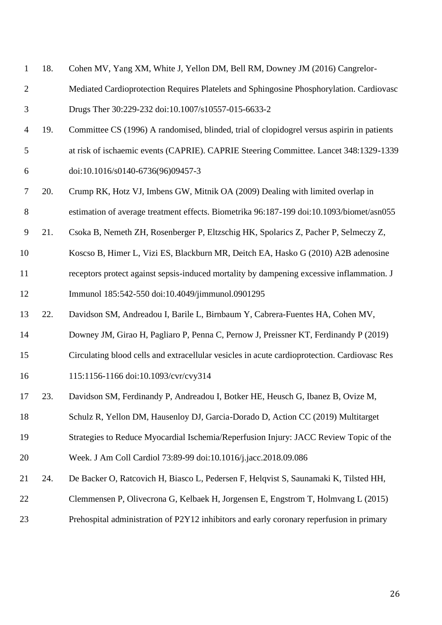| $\mathbf{1}$   | 18. | Cohen MV, Yang XM, White J, Yellon DM, Bell RM, Downey JM (2016) Cangrelor-                  |
|----------------|-----|----------------------------------------------------------------------------------------------|
| $\overline{2}$ |     | Mediated Cardioprotection Requires Platelets and Sphingosine Phosphorylation. Cardiovasc     |
| 3              |     | Drugs Ther 30:229-232 doi:10.1007/s10557-015-6633-2                                          |
| $\overline{4}$ | 19. | Committee CS (1996) A randomised, blinded, trial of clopidogrel versus aspirin in patients   |
| 5              |     | at risk of ischaemic events (CAPRIE). CAPRIE Steering Committee. Lancet 348:1329-1339        |
| 6              |     | doi:10.1016/s0140-6736(96)09457-3                                                            |
| 7              | 20. | Crump RK, Hotz VJ, Imbens GW, Mitnik OA (2009) Dealing with limited overlap in               |
| 8              |     | estimation of average treatment effects. Biometrika 96:187-199 doi:10.1093/biomet/asn055     |
| 9              | 21. | Csoka B, Nemeth ZH, Rosenberger P, Eltzschig HK, Spolarics Z, Pacher P, Selmeczy Z,          |
| 10             |     | Koscso B, Himer L, Vizi ES, Blackburn MR, Deitch EA, Hasko G (2010) A2B adenosine            |
| 11             |     | receptors protect against sepsis-induced mortality by dampening excessive inflammation. J    |
| 12             |     | Immunol 185:542-550 doi:10.4049/jimmunol.0901295                                             |
| 13             | 22. | Davidson SM, Andreadou I, Barile L, Birnbaum Y, Cabrera-Fuentes HA, Cohen MV,                |
| 14             |     | Downey JM, Girao H, Pagliaro P, Penna C, Pernow J, Preissner KT, Ferdinandy P (2019)         |
| 15             |     | Circulating blood cells and extracellular vesicles in acute cardioprotection. Cardiovasc Res |
| 16             |     | 115:1156-1166 doi:10.1093/cvr/cvy314                                                         |
| 17             | 23. | Davidson SM, Ferdinandy P, Andreadou I, Botker HE, Heusch G, Ibanez B, Ovize M,              |
| 18             |     | Schulz R, Yellon DM, Hausenloy DJ, Garcia-Dorado D, Action CC (2019) Multitarget             |
| 19             |     | Strategies to Reduce Myocardial Ischemia/Reperfusion Injury: JACC Review Topic of the        |
| 20             |     | Week. J Am Coll Cardiol 73:89-99 doi:10.1016/j.jacc.2018.09.086                              |
| 21             | 24. | De Backer O, Ratcovich H, Biasco L, Pedersen F, Helqvist S, Saunamaki K, Tilsted HH,         |
| 22             |     | Clemmensen P, Olivecrona G, Kelbaek H, Jorgensen E, Engstrom T, Holmvang L (2015)            |
| 23             |     | Prehospital administration of P2Y12 inhibitors and early coronary reperfusion in primary     |
|                |     |                                                                                              |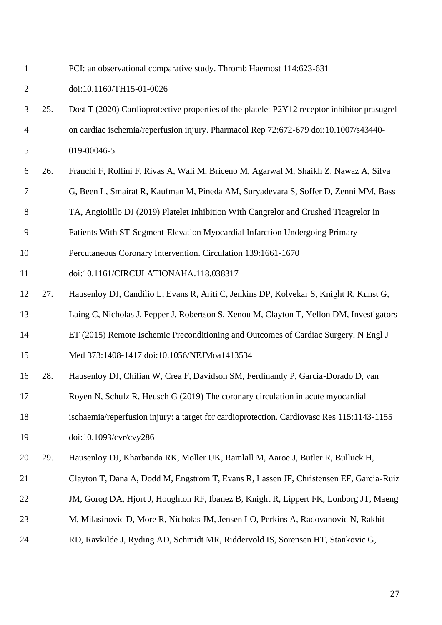doi:10.1160/TH15-01-0026 25. Dost T (2020) Cardioprotective properties of the platelet P2Y12 receptor inhibitor prasugrel on cardiac ischemia/reperfusion injury. Pharmacol Rep 72:672-679 doi:10.1007/s43440-

PCI: an observational comparative study. Thromb Haemost 114:623-631

019-00046-5

- 26. Franchi F, Rollini F, Rivas A, Wali M, Briceno M, Agarwal M, Shaikh Z, Nawaz A, Silva
- G, Been L, Smairat R, Kaufman M, Pineda AM, Suryadevara S, Soffer D, Zenni MM, Bass
- TA, Angiolillo DJ (2019) Platelet Inhibition With Cangrelor and Crushed Ticagrelor in
- Patients With ST-Segment-Elevation Myocardial Infarction Undergoing Primary
- Percutaneous Coronary Intervention. Circulation 139:1661-1670
- doi:10.1161/CIRCULATIONAHA.118.038317
- 27. Hausenloy DJ, Candilio L, Evans R, Ariti C, Jenkins DP, Kolvekar S, Knight R, Kunst G,
- Laing C, Nicholas J, Pepper J, Robertson S, Xenou M, Clayton T, Yellon DM, Investigators
- ET (2015) Remote Ischemic Preconditioning and Outcomes of Cardiac Surgery. N Engl J
- Med 373:1408-1417 doi:10.1056/NEJMoa1413534
- 28. Hausenloy DJ, Chilian W, Crea F, Davidson SM, Ferdinandy P, Garcia-Dorado D, van
- Royen N, Schulz R, Heusch G (2019) The coronary circulation in acute myocardial
- ischaemia/reperfusion injury: a target for cardioprotection. Cardiovasc Res 115:1143-1155
- doi:10.1093/cvr/cvy286
- 29. Hausenloy DJ, Kharbanda RK, Moller UK, Ramlall M, Aaroe J, Butler R, Bulluck H,
- Clayton T, Dana A, Dodd M, Engstrom T, Evans R, Lassen JF, Christensen EF, Garcia-Ruiz
- 22 JM, Gorog DA, Hjort J, Houghton RF, Ibanez B, Knight R, Lippert FK, Lonborg JT, Maeng
- M, Milasinovic D, More R, Nicholas JM, Jensen LO, Perkins A, Radovanovic N, Rakhit
- RD, Ravkilde J, Ryding AD, Schmidt MR, Riddervold IS, Sorensen HT, Stankovic G,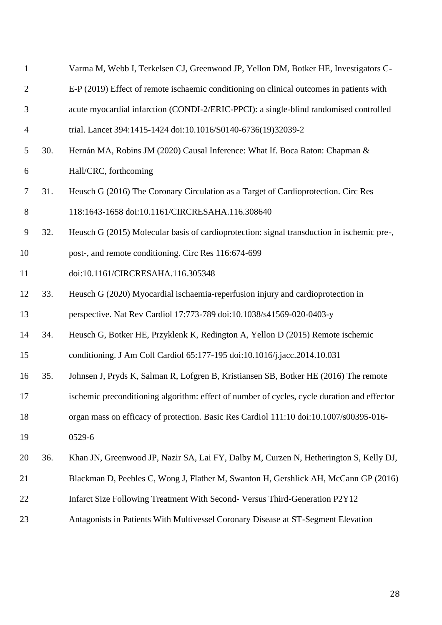| $\mathbf{1}$   |     | Varma M, Webb I, Terkelsen CJ, Greenwood JP, Yellon DM, Botker HE, Investigators C-         |
|----------------|-----|---------------------------------------------------------------------------------------------|
| $\overline{2}$ |     | E-P (2019) Effect of remote ischaemic conditioning on clinical outcomes in patients with    |
| $\mathfrak{Z}$ |     | acute myocardial infarction (CONDI-2/ERIC-PPCI): a single-blind randomised controlled       |
| 4              |     | trial. Lancet 394:1415-1424 doi:10.1016/S0140-6736(19)32039-2                               |
| 5              | 30. | Hernán MA, Robins JM (2020) Causal Inference: What If. Boca Raton: Chapman &                |
| 6              |     | Hall/CRC, forthcoming                                                                       |
| 7              | 31. | Heusch G (2016) The Coronary Circulation as a Target of Cardioprotection. Circ Res          |
| 8              |     | 118:1643-1658 doi:10.1161/CIRCRESAHA.116.308640                                             |
| 9              | 32. | Heusch G (2015) Molecular basis of cardioprotection: signal transduction in ischemic pre-,  |
| 10             |     | post-, and remote conditioning. Circ Res 116:674-699                                        |
| 11             |     | doi:10.1161/CIRCRESAHA.116.305348                                                           |
| 12             | 33. | Heusch G (2020) Myocardial ischaemia-reperfusion injury and cardioprotection in             |
| 13             |     | perspective. Nat Rev Cardiol 17:773-789 doi:10.1038/s41569-020-0403-y                       |
| 14             | 34. | Heusch G, Botker HE, Przyklenk K, Redington A, Yellon D (2015) Remote ischemic              |
| 15             |     | conditioning. J Am Coll Cardiol 65:177-195 doi:10.1016/j.jacc.2014.10.031                   |
| 16             | 35. | Johnsen J, Pryds K, Salman R, Lofgren B, Kristiansen SB, Botker HE (2016) The remote        |
| 17             |     | ischemic preconditioning algorithm: effect of number of cycles, cycle duration and effector |
| 18             |     | organ mass on efficacy of protection. Basic Res Cardiol 111:10 doi:10.1007/s00395-016-      |
| 19             |     | 0529-6                                                                                      |
| 20             | 36. | Khan JN, Greenwood JP, Nazir SA, Lai FY, Dalby M, Curzen N, Hetherington S, Kelly DJ,       |
| 21             |     | Blackman D, Peebles C, Wong J, Flather M, Swanton H, Gershlick AH, McCann GP (2016)         |
| 22             |     | Infarct Size Following Treatment With Second- Versus Third-Generation P2Y12                 |
| 23             |     | Antagonists in Patients With Multivessel Coronary Disease at ST-Segment Elevation           |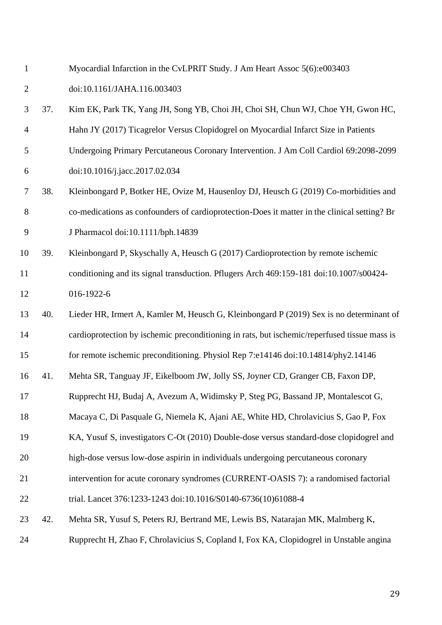- Myocardial Infarction in the CvLPRIT Study. J Am Heart Assoc 5(6):e003403 doi:10.1161/JAHA.116.003403
- 37. Kim EK, Park TK, Yang JH, Song YB, Choi JH, Choi SH, Chun WJ, Choe YH, Gwon HC, Hahn JY (2017) Ticagrelor Versus Clopidogrel on Myocardial Infarct Size in Patients Undergoing Primary Percutaneous Coronary Intervention. J Am Coll Cardiol 69:2098-2099 doi:10.1016/j.jacc.2017.02.034
- 38. Kleinbongard P, Botker HE, Ovize M, Hausenloy DJ, Heusch G (2019) Co-morbidities and co-medications as confounders of cardioprotection-Does it matter in the clinical setting? Br J Pharmacol doi:10.1111/bph.14839
- 39. Kleinbongard P, Skyschally A, Heusch G (2017) Cardioprotection by remote ischemic conditioning and its signal transduction. Pflugers Arch 469:159-181 doi:10.1007/s00424- 016-1922-6
- 40. Lieder HR, Irmert A, Kamler M, Heusch G, Kleinbongard P (2019) Sex is no determinant of cardioprotection by ischemic preconditioning in rats, but ischemic/reperfused tissue mass is for remote ischemic preconditioning. Physiol Rep 7:e14146 doi:10.14814/phy2.14146
- 41. Mehta SR, Tanguay JF, Eikelboom JW, Jolly SS, Joyner CD, Granger CB, Faxon DP,
- Rupprecht HJ, Budaj A, Avezum A, Widimsky P, Steg PG, Bassand JP, Montalescot G,
- Macaya C, Di Pasquale G, Niemela K, Ajani AE, White HD, Chrolavicius S, Gao P, Fox
- KA, Yusuf S, investigators C-Ot (2010) Double-dose versus standard-dose clopidogrel and
- high-dose versus low-dose aspirin in individuals undergoing percutaneous coronary
- intervention for acute coronary syndromes (CURRENT-OASIS 7): a randomised factorial
- trial. Lancet 376:1233-1243 doi:10.1016/S0140-6736(10)61088-4
- 42. Mehta SR, Yusuf S, Peters RJ, Bertrand ME, Lewis BS, Natarajan MK, Malmberg K,
- Rupprecht H, Zhao F, Chrolavicius S, Copland I, Fox KA, Clopidogrel in Unstable angina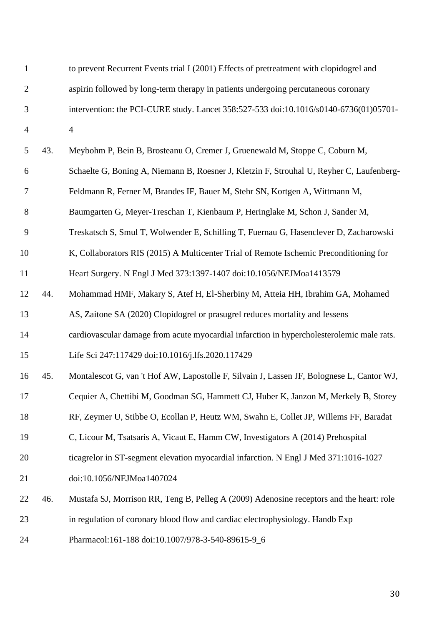| 1              |     | to prevent Recurrent Events trial I (2001) Effects of pretreatment with clopidogrel and   |
|----------------|-----|-------------------------------------------------------------------------------------------|
| $\mathbf{2}$   |     | aspirin followed by long-term therapy in patients undergoing percutaneous coronary        |
| 3              |     | intervention: the PCI-CURE study. Lancet 358:527-533 doi:10.1016/s0140-6736(01)05701-     |
| $\overline{4}$ |     | $\overline{4}$                                                                            |
| 5              | 43. | Meybohm P, Bein B, Brosteanu O, Cremer J, Gruenewald M, Stoppe C, Coburn M,               |
| 6              |     | Schaelte G, Boning A, Niemann B, Roesner J, Kletzin F, Strouhal U, Reyher C, Laufenberg-  |
| $\tau$         |     | Feldmann R, Ferner M, Brandes IF, Bauer M, Stehr SN, Kortgen A, Wittmann M,               |
| 8              |     | Baumgarten G, Meyer-Treschan T, Kienbaum P, Heringlake M, Schon J, Sander M,              |
| 9              |     | Treskatsch S, Smul T, Wolwender E, Schilling T, Fuernau G, Hasenclever D, Zacharowski     |
| 10             |     | K, Collaborators RIS (2015) A Multicenter Trial of Remote Ischemic Preconditioning for    |
| 11             |     | Heart Surgery. N Engl J Med 373:1397-1407 doi:10.1056/NEJMoa1413579                       |
| 12             | 44. | Mohammad HMF, Makary S, Atef H, El-Sherbiny M, Atteia HH, Ibrahim GA, Mohamed             |
| 13             |     | AS, Zaitone SA (2020) Clopidogrel or prasugrel reduces mortality and lessens              |
| 14             |     | cardiovascular damage from acute myocardial infarction in hypercholesterolemic male rats. |
| 15             |     | Life Sci 247:117429 doi:10.1016/j.lfs.2020.117429                                         |
| 16             | 45. | Montalescot G, van 't Hof AW, Lapostolle F, Silvain J, Lassen JF, Bolognese L, Cantor WJ, |
| 17             |     | Cequier A, Chettibi M, Goodman SG, Hammett CJ, Huber K, Janzon M, Merkely B, Storey       |
| 18             |     | RF, Zeymer U, Stibbe O, Ecollan P, Heutz WM, Swahn E, Collet JP, Willems FF, Baradat      |
| 19             |     | C, Licour M, Tsatsaris A, Vicaut E, Hamm CW, Investigators A (2014) Prehospital           |
| 20             |     | ticagrelor in ST-segment elevation myocardial infarction. N Engl J Med 371:1016-1027      |
| 21             |     | doi:10.1056/NEJMoa1407024                                                                 |
| 22             | 46. | Mustafa SJ, Morrison RR, Teng B, Pelleg A (2009) Adenosine receptors and the heart: role  |
| 23             |     | in regulation of coronary blood flow and cardiac electrophysiology. Handb Exp             |
| 24             |     | Pharmacol:161-188 doi:10.1007/978-3-540-89615-9_6                                         |
|                |     |                                                                                           |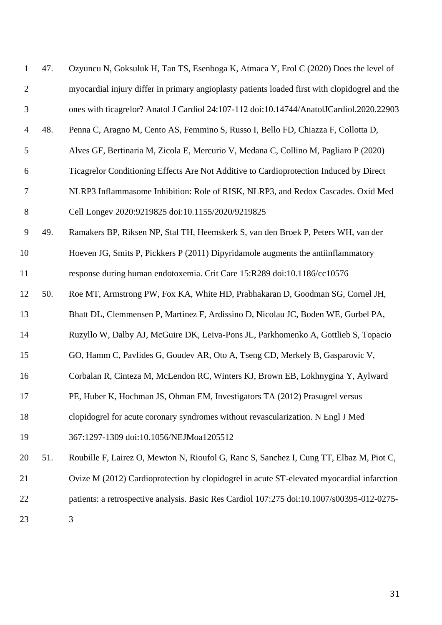| $\mathbf{1}$   | 47. | Ozyuncu N, Goksuluk H, Tan TS, Esenboga K, Atmaca Y, Erol C (2020) Does the level of           |
|----------------|-----|------------------------------------------------------------------------------------------------|
| $\overline{2}$ |     | myocardial injury differ in primary angioplasty patients loaded first with clopidogrel and the |
| $\mathfrak{Z}$ |     | ones with ticagrelor? Anatol J Cardiol 24:107-112 doi:10.14744/AnatolJCardiol.2020.22903       |
| 4              | 48. | Penna C, Aragno M, Cento AS, Femmino S, Russo I, Bello FD, Chiazza F, Collotta D,              |
| 5              |     | Alves GF, Bertinaria M, Zicola E, Mercurio V, Medana C, Collino M, Pagliaro P (2020)           |
| 6              |     | Ticagrelor Conditioning Effects Are Not Additive to Cardioprotection Induced by Direct         |
| 7              |     | NLRP3 Inflammasome Inhibition: Role of RISK, NLRP3, and Redox Cascades. Oxid Med               |
| $8\,$          |     | Cell Longev 2020:9219825 doi:10.1155/2020/9219825                                              |
| 9              | 49. | Ramakers BP, Riksen NP, Stal TH, Heemskerk S, van den Broek P, Peters WH, van der              |
| 10             |     | Hoeven JG, Smits P, Pickkers P (2011) Dipyridamole augments the antiinflammatory               |
| 11             |     | response during human endotoxemia. Crit Care 15:R289 doi:10.1186/cc10576                       |
| 12             | 50. | Roe MT, Armstrong PW, Fox KA, White HD, Prabhakaran D, Goodman SG, Cornel JH,                  |
| 13             |     | Bhatt DL, Clemmensen P, Martinez F, Ardissino D, Nicolau JC, Boden WE, Gurbel PA,              |
| 14             |     | Ruzyllo W, Dalby AJ, McGuire DK, Leiva-Pons JL, Parkhomenko A, Gottlieb S, Topacio             |
| 15             |     | GO, Hamm C, Pavlides G, Goudev AR, Oto A, Tseng CD, Merkely B, Gasparovic V,                   |
| 16             |     | Corbalan R, Cinteza M, McLendon RC, Winters KJ, Brown EB, Lokhnygina Y, Aylward                |
| 17             |     | PE, Huber K, Hochman JS, Ohman EM, Investigators TA (2012) Prasugrel versus                    |
| 18             |     | clopidogrel for acute coronary syndromes without revascularization. N Engl J Med               |
| 19             |     | 367:1297-1309 doi:10.1056/NEJMoa1205512                                                        |
| 20             | 51. | Roubille F, Lairez O, Mewton N, Rioufol G, Ranc S, Sanchez I, Cung TT, Elbaz M, Piot C,        |
| 21             |     | Ovize M (2012) Cardioprotection by clopidogrel in acute ST-elevated myocardial infarction      |
| 22             |     | patients: a retrospective analysis. Basic Res Cardiol 107:275 doi:10.1007/s00395-012-0275-     |
|                |     |                                                                                                |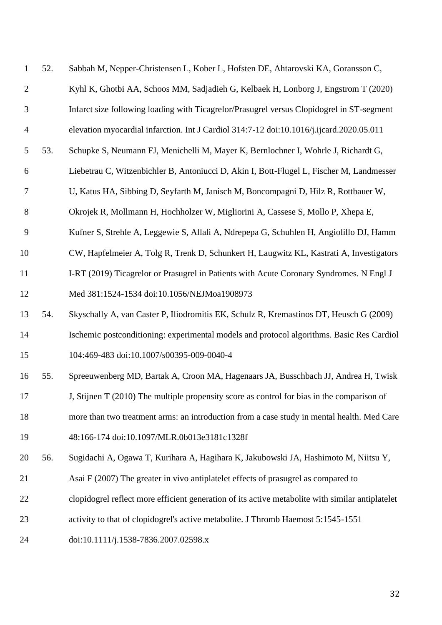| 1              | 52. | Sabbah M, Nepper-Christensen L, Kober L, Hofsten DE, Ahtarovski KA, Goransson C,                 |
|----------------|-----|--------------------------------------------------------------------------------------------------|
| $\overline{2}$ |     | Kyhl K, Ghotbi AA, Schoos MM, Sadjadieh G, Kelbaek H, Lonborg J, Engstrom T (2020)               |
| 3              |     | Infarct size following loading with Ticagrelor/Prasugrel versus Clopidogrel in ST-segment        |
| $\overline{4}$ |     | elevation myocardial infarction. Int J Cardiol 314:7-12 doi:10.1016/j.ijcard.2020.05.011         |
| 5              | 53. | Schupke S, Neumann FJ, Menichelli M, Mayer K, Bernlochner I, Wohrle J, Richardt G,               |
| 6              |     | Liebetrau C, Witzenbichler B, Antoniucci D, Akin I, Bott-Flugel L, Fischer M, Landmesser         |
| $\tau$         |     | U, Katus HA, Sibbing D, Seyfarth M, Janisch M, Boncompagni D, Hilz R, Rottbauer W,               |
| 8              |     | Okrojek R, Mollmann H, Hochholzer W, Migliorini A, Cassese S, Mollo P, Xhepa E,                  |
| 9              |     | Kufner S, Strehle A, Leggewie S, Allali A, Ndrepepa G, Schuhlen H, Angiolillo DJ, Hamm           |
| 10             |     | CW, Hapfelmeier A, Tolg R, Trenk D, Schunkert H, Laugwitz KL, Kastrati A, Investigators          |
| 11             |     | I-RT (2019) Ticagrelor or Prasugrel in Patients with Acute Coronary Syndromes. N Engl J          |
| 12             |     | Med 381:1524-1534 doi:10.1056/NEJMoa1908973                                                      |
| 13             | 54. | Skyschally A, van Caster P, Iliodromitis EK, Schulz R, Kremastinos DT, Heusch G (2009)           |
| 14             |     | Ischemic postconditioning: experimental models and protocol algorithms. Basic Res Cardiol        |
| 15             |     | 104:469-483 doi:10.1007/s00395-009-0040-4                                                        |
| 16             | 55. | Spreeuwenberg MD, Bartak A, Croon MA, Hagenaars JA, Busschbach JJ, Andrea H, Twisk               |
| 17             |     | J, Stijnen T (2010) The multiple propensity score as control for bias in the comparison of       |
| 18             |     | more than two treatment arms: an introduction from a case study in mental health. Med Care       |
| 19             |     | 48:166-174 doi:10.1097/MLR.0b013e3181c1328f                                                      |
| 20             | 56. | Sugidachi A, Ogawa T, Kurihara A, Hagihara K, Jakubowski JA, Hashimoto M, Niitsu Y,              |
| 21             |     | Asai F (2007) The greater in vivo antiplatelet effects of prasugrel as compared to               |
| 22             |     | clopidogrel reflect more efficient generation of its active metabolite with similar antiplatelet |
| 23             |     | activity to that of clopidogrel's active metabolite. J Thromb Haemost 5:1545-1551                |
| 24             |     | doi:10.1111/j.1538-7836.2007.02598.x                                                             |
|                |     |                                                                                                  |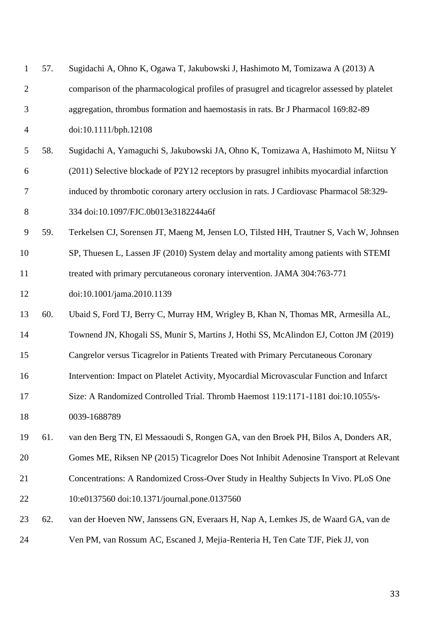| $\mathbf{1}$   | 57. | Sugidachi A, Ohno K, Ogawa T, Jakubowski J, Hashimoto M, Tomizawa A (2013) A                |
|----------------|-----|---------------------------------------------------------------------------------------------|
| $\overline{2}$ |     | comparison of the pharmacological profiles of prasugrel and ticagrelor assessed by platelet |
| 3              |     | aggregation, thrombus formation and haemostasis in rats. Br J Pharmacol 169:82-89           |
| $\overline{4}$ |     | doi:10.1111/bph.12108                                                                       |
| 5              | 58. | Sugidachi A, Yamaguchi S, Jakubowski JA, Ohno K, Tomizawa A, Hashimoto M, Niitsu Y          |
| 6              |     | (2011) Selective blockade of P2Y12 receptors by prasugrel inhibits myocardial infarction    |
| $\tau$         |     | induced by thrombotic coronary artery occlusion in rats. J Cardiovasc Pharmacol 58:329-     |
| 8              |     | 334 doi:10.1097/FJC.0b013e3182244a6f                                                        |
| 9              | 59. | Terkelsen CJ, Sorensen JT, Maeng M, Jensen LO, Tilsted HH, Trautner S, Vach W, Johnsen      |
| 10             |     | SP, Thuesen L, Lassen JF (2010) System delay and mortality among patients with STEMI        |
| 11             |     | treated with primary percutaneous coronary intervention. JAMA 304:763-771                   |
| 12             |     | doi:10.1001/jama.2010.1139                                                                  |
| 13             | 60. | Ubaid S, Ford TJ, Berry C, Murray HM, Wrigley B, Khan N, Thomas MR, Armesilla AL,           |
| 14             |     | Townend JN, Khogali SS, Munir S, Martins J, Hothi SS, McAlindon EJ, Cotton JM (2019)        |
| 15             |     | Cangrelor versus Ticagrelor in Patients Treated with Primary Percutaneous Coronary          |
| 16             |     | Intervention: Impact on Platelet Activity, Myocardial Microvascular Function and Infarct    |
| 17             |     | Size: A Randomized Controlled Trial. Thromb Haemost 119:1171-1181 doi:10.1055/s-            |
| 18             |     | 0039-1688789                                                                                |
| 19             | 61. | van den Berg TN, El Messaoudi S, Rongen GA, van den Broek PH, Bilos A, Donders AR,          |
| 20             |     | Gomes ME, Riksen NP (2015) Ticagrelor Does Not Inhibit Adenosine Transport at Relevant      |
| 21             |     | Concentrations: A Randomized Cross-Over Study in Healthy Subjects In Vivo. PLoS One         |
| 22             |     | 10:e0137560 doi:10.1371/journal.pone.0137560                                                |
| 23             | 62. | van der Hoeven NW, Janssens GN, Everaars H, Nap A, Lemkes JS, de Waard GA, van de           |
| 24             |     | Ven PM, van Rossum AC, Escaned J, Mejia-Renteria H, Ten Cate TJF, Piek JJ, von              |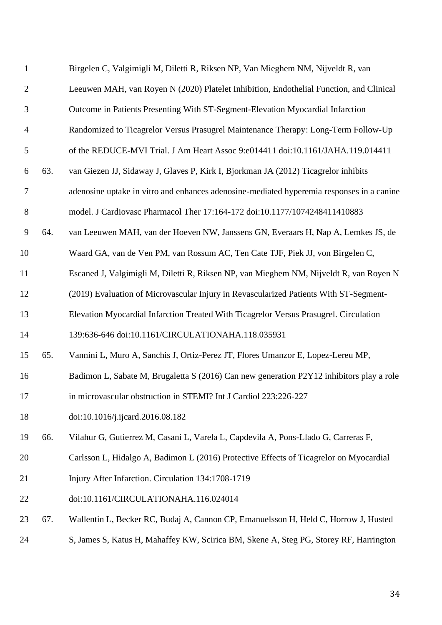| $\mathbf{1}$   |     | Birgelen C, Valgimigli M, Diletti R, Riksen NP, Van Mieghem NM, Nijveldt R, van           |
|----------------|-----|-------------------------------------------------------------------------------------------|
| $\mathfrak{2}$ |     | Leeuwen MAH, van Royen N (2020) Platelet Inhibition, Endothelial Function, and Clinical   |
| 3              |     | Outcome in Patients Presenting With ST-Segment-Elevation Myocardial Infarction            |
| $\overline{4}$ |     | Randomized to Ticagrelor Versus Prasugrel Maintenance Therapy: Long-Term Follow-Up        |
| 5              |     | of the REDUCE-MVI Trial. J Am Heart Assoc 9:e014411 doi:10.1161/JAHA.119.014411           |
| 6              | 63. | van Giezen JJ, Sidaway J, Glaves P, Kirk I, Bjorkman JA (2012) Ticagrelor inhibits        |
| $\tau$         |     | adenosine uptake in vitro and enhances adenosine-mediated hyperemia responses in a canine |
| $8\,$          |     | model. J Cardiovasc Pharmacol Ther 17:164-172 doi:10.1177/1074248411410883                |
| 9              | 64. | van Leeuwen MAH, van der Hoeven NW, Janssens GN, Everaars H, Nap A, Lemkes JS, de         |
| 10             |     | Waard GA, van de Ven PM, van Rossum AC, Ten Cate TJF, Piek JJ, von Birgelen C,            |
| 11             |     | Escaned J, Valgimigli M, Diletti R, Riksen NP, van Mieghem NM, Nijveldt R, van Royen N    |
| 12             |     | (2019) Evaluation of Microvascular Injury in Revascularized Patients With ST-Segment-     |
| 13             |     | Elevation Myocardial Infarction Treated With Ticagrelor Versus Prasugrel. Circulation     |
| 14             |     | 139:636-646 doi:10.1161/CIRCULATIONAHA.118.035931                                         |
| 15             | 65. | Vannini L, Muro A, Sanchis J, Ortiz-Perez JT, Flores Umanzor E, Lopez-Lereu MP,           |
| 16             |     | Badimon L, Sabate M, Brugaletta S (2016) Can new generation P2Y12 inhibitors play a role  |
| 17             |     | in microvascular obstruction in STEMI? Int J Cardiol 223:226-227                          |
| 18             |     | doi:10.1016/j.ijcard.2016.08.182                                                          |
| 19             | 66. | Vilahur G, Gutierrez M, Casani L, Varela L, Capdevila A, Pons-Llado G, Carreras F,        |
| 20             |     | Carlsson L, Hidalgo A, Badimon L (2016) Protective Effects of Ticagrelor on Myocardial    |
| 21             |     | Injury After Infarction. Circulation 134:1708-1719                                        |
| 22             |     | doi:10.1161/CIRCULATIONAHA.116.024014                                                     |
| 23             | 67. | Wallentin L, Becker RC, Budaj A, Cannon CP, Emanuelsson H, Held C, Horrow J, Husted       |
| 24             |     | S, James S, Katus H, Mahaffey KW, Scirica BM, Skene A, Steg PG, Storey RF, Harrington     |
|                |     |                                                                                           |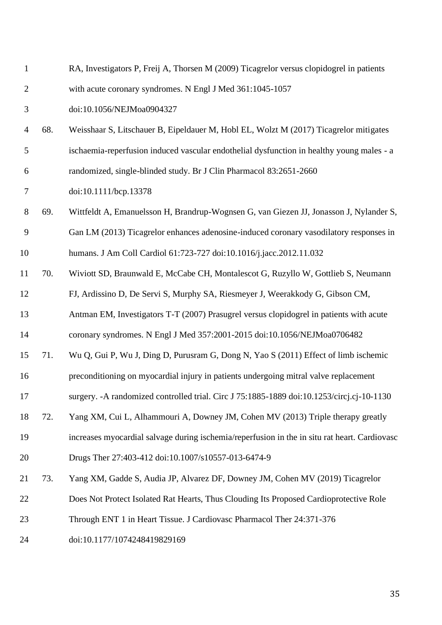| $\mathbf{1}$   |     | RA, Investigators P, Freij A, Thorsen M (2009) Ticagrelor versus clopidogrel in patients      |
|----------------|-----|-----------------------------------------------------------------------------------------------|
| $\overline{2}$ |     | with acute coronary syndromes. N Engl J Med 361:1045-1057                                     |
| 3              |     | doi:10.1056/NEJMoa0904327                                                                     |
| 4              | 68. | Weisshaar S, Litschauer B, Eipeldauer M, Hobl EL, Wolzt M (2017) Ticagrelor mitigates         |
| 5              |     | ischaemia-reperfusion induced vascular endothelial dysfunction in healthy young males - a     |
| 6              |     | randomized, single-blinded study. Br J Clin Pharmacol 83:2651-2660                            |
| 7              |     | doi:10.1111/bcp.13378                                                                         |
| 8              | 69. | Wittfeldt A, Emanuelsson H, Brandrup-Wognsen G, van Giezen JJ, Jonasson J, Nylander S,        |
| 9              |     | Gan LM (2013) Ticagrelor enhances adenosine-induced coronary vasodilatory responses in        |
| 10             |     | humans. J Am Coll Cardiol 61:723-727 doi:10.1016/j.jacc.2012.11.032                           |
| 11             | 70. | Wiviott SD, Braunwald E, McCabe CH, Montalescot G, Ruzyllo W, Gottlieb S, Neumann             |
| 12             |     | FJ, Ardissino D, De Servi S, Murphy SA, Riesmeyer J, Weerakkody G, Gibson CM,                 |
| 13             |     | Antman EM, Investigators T-T (2007) Prasugrel versus clopidogrel in patients with acute       |
| 14             |     | coronary syndromes. N Engl J Med 357:2001-2015 doi:10.1056/NEJMoa0706482                      |
| 15             | 71. | Wu Q, Gui P, Wu J, Ding D, Purusram G, Dong N, Yao S (2011) Effect of limb ischemic           |
| 16             |     | preconditioning on myocardial injury in patients undergoing mitral valve replacement          |
| 17             |     | surgery. - A randomized controlled trial. Circ J 75:1885-1889 doi:10.1253/circj.cj-10-1130    |
| 18             | 72. | Yang XM, Cui L, Alhammouri A, Downey JM, Cohen MV (2013) Triple therapy greatly               |
| 19             |     | increases myocardial salvage during ischemia/reperfusion in the in situ rat heart. Cardiovasc |
| 20             |     | Drugs Ther 27:403-412 doi:10.1007/s10557-013-6474-9                                           |
| 21             | 73. | Yang XM, Gadde S, Audia JP, Alvarez DF, Downey JM, Cohen MV (2019) Ticagrelor                 |
| 22             |     | Does Not Protect Isolated Rat Hearts, Thus Clouding Its Proposed Cardioprotective Role        |
| 23             |     | Through ENT 1 in Heart Tissue. J Cardiovasc Pharmacol Ther 24:371-376                         |
| 24             |     | doi:10.1177/1074248419829169                                                                  |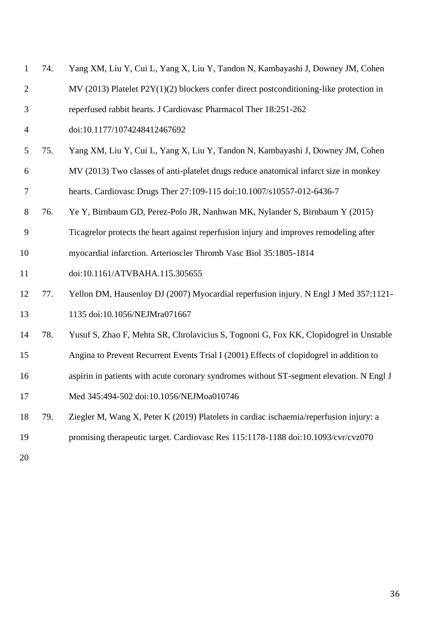| $\mathbf{1}$   | 74. | Yang XM, Liu Y, Cui L, Yang X, Liu Y, Tandon N, Kambayashi J, Downey JM, Cohen               |
|----------------|-----|----------------------------------------------------------------------------------------------|
| $\overline{2}$ |     | $MV$ (2013) Platelet P2 $Y(1)(2)$ blockers confer direct postconditioning-like protection in |
| 3              |     | reperfused rabbit hearts. J Cardiovasc Pharmacol Ther 18:251-262                             |
| $\overline{4}$ |     | doi:10.1177/1074248412467692                                                                 |
| 5              | 75. | Yang XM, Liu Y, Cui L, Yang X, Liu Y, Tandon N, Kambayashi J, Downey JM, Cohen               |
| 6              |     | MV (2013) Two classes of anti-platelet drugs reduce anatomical infarct size in monkey        |
| $\tau$         |     | hearts. Cardiovasc Drugs Ther 27:109-115 doi:10.1007/s10557-012-6436-7                       |
| 8              | 76. | Ye Y, Birnbaum GD, Perez-Polo JR, Nanhwan MK, Nylander S, Birnbaum Y (2015)                  |
| 9              |     | Ticagrelor protects the heart against reperfusion injury and improves remodeling after       |
| 10             |     | myocardial infarction. Arterioscler Thromb Vasc Biol 35:1805-1814                            |
| 11             |     | doi:10.1161/ATVBAHA.115.305655                                                               |
| 12             | 77. | Yellon DM, Hausenloy DJ (2007) Myocardial reperfusion injury. N Engl J Med 357:1121-         |
| 13             |     | 1135 doi:10.1056/NEJMra071667                                                                |
| 14             | 78. | Yusuf S, Zhao F, Mehta SR, Chrolavicius S, Tognoni G, Fox KK, Clopidogrel in Unstable        |
| 15             |     | Angina to Prevent Recurrent Events Trial I (2001) Effects of clopidogrel in addition to      |
| 16             |     | aspirin in patients with acute coronary syndromes without ST-segment elevation. N Engl J     |
| 17             |     | Med 345:494-502 doi:10.1056/NEJMoa010746                                                     |
| 18             | 79. | Ziegler M, Wang X, Peter K (2019) Platelets in cardiac ischaemia/reperfusion injury: a       |
| 19             |     | promising therapeutic target. Cardiovasc Res 115:1178-1188 doi:10.1093/cvr/cvz070            |
| 20             |     |                                                                                              |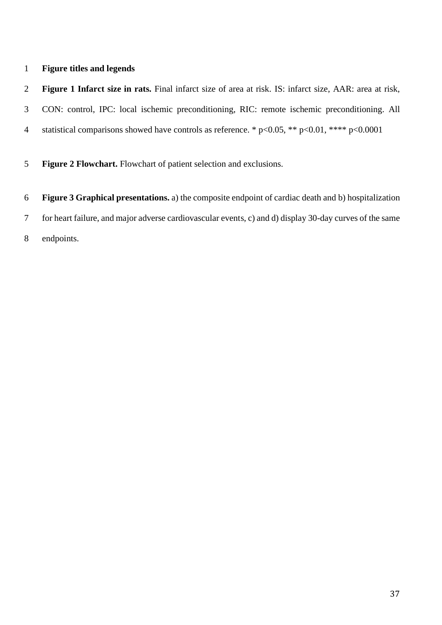## **Figure titles and legends**

 **Figure 1 Infarct size in rats.** Final infarct size of area at risk. IS: infarct size, AAR: area at risk, CON: control, IPC: local ischemic preconditioning, RIC: remote ischemic preconditioning. All 4 statistical comparisons showed have controls as reference. \* p<0.05, \*\* p<0.01, \*\*\*\* p<0.0001

**Figure 2 Flowchart.** Flowchart of patient selection and exclusions.

 **Figure 3 Graphical presentations.** a) the composite endpoint of cardiac death and b) hospitalization for heart failure, and major adverse cardiovascular events, c) and d) display 30-day curves of the same endpoints.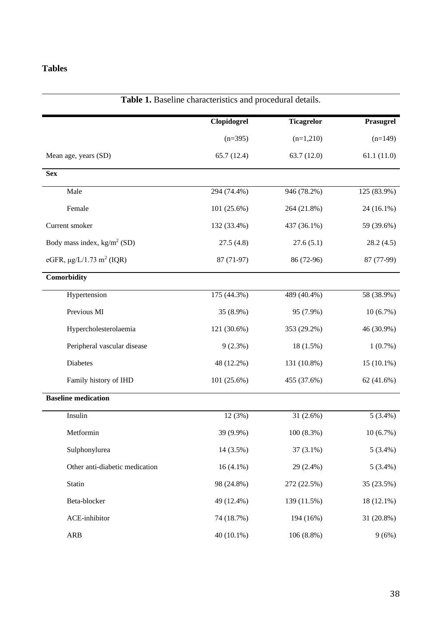## **Tables**

|                                           | Clopidogrel | <b>Ticagrelor</b> | Prasugrel    |
|-------------------------------------------|-------------|-------------------|--------------|
|                                           | $(n=395)$   | $(n=1,210)$       | $(n=149)$    |
| Mean age, years (SD)                      | 65.7(12.4)  | 63.7 (12.0)       | 61.1(11.0)   |
| <b>Sex</b>                                |             |                   |              |
| Male                                      | 294 (74.4%) | 946 (78.2%)       | 125 (83.9%)  |
| Female                                    | 101 (25.6%) | 264 (21.8%)       | 24 (16.1%)   |
| Current smoker                            | 132 (33.4%) | 437 (36.1%)       | 59 (39.6%)   |
| Body mass index, $kg/m^2$ (SD)            | 27.5(4.8)   | 27.6(5.1)         | 28.2(4.5)    |
| eGFR, $\mu$ g/L/1.73 m <sup>2</sup> (IQR) | 87 (71-97)  | 86 (72-96)        | 87 (77-99)   |
| Comorbidity                               |             |                   |              |
| Hypertension                              | 175(44.3%)  | 489 (40.4%)       | 58 (38.9%)   |
| Previous MI                               | 35 (8.9%)   | 95 (7.9%)         | $10(6.7\%)$  |
| Hypercholesterolaemia                     | 121 (30.6%) | 353 (29.2%)       | 46 (30.9%)   |
| Peripheral vascular disease               | $9(2.3\%)$  | 18 (1.5%)         | $1(0.7\%)$   |
| Diabetes                                  | 48 (12.2%)  | 131 (10.8%)       | $15(10.1\%)$ |
| Family history of IHD                     | 101 (25.6%) | 455 (37.6%)       | 62(41.6%)    |
| <b>Baseline medication</b>                |             |                   |              |
| Insulin                                   | 12 (3%)     | $31(2.6\%)$       | $5(3.4\%)$   |
| Metformin                                 | 39 (9.9%)   | 100 (8.3%)        | $10(6.7\%)$  |
| Sulphonylurea                             | 14 (3.5%)   | $37(3.1\%)$       | $5(3.4\%)$   |
| Other anti-diabetic medication            | $16(4.1\%)$ | 29 (2.4%)         | $5(3.4\%)$   |
| Statin                                    | 98 (24.8%)  | 272 (22.5%)       | 35 (23.5%)   |
| Beta-blocker                              | 49 (12.4%)  | 139 (11.5%)       | 18 (12.1%)   |
| ACE-inhibitor                             | 74 (18.7%)  | 194 (16%)         | 31 (20.8%)   |
| <b>ARB</b>                                | 40 (10.1%)  | $106(8.8\%)$      | 9(6%)        |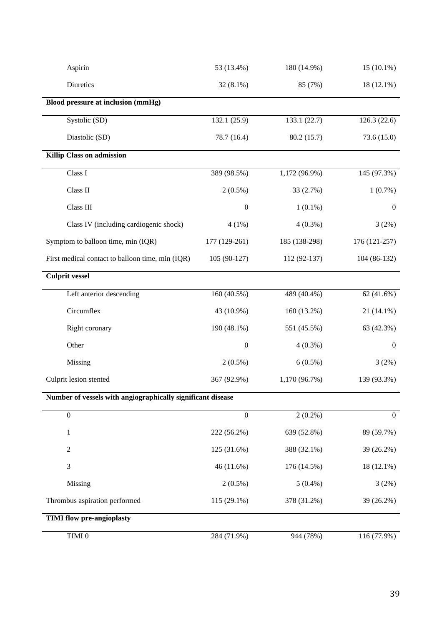| $\bold{TIMI}$ $0$                                           | 284 (71.9%)      | 944 (78%)     | 116 (77.9%)      |
|-------------------------------------------------------------|------------------|---------------|------------------|
| <b>TIMI flow pre-angioplasty</b>                            |                  |               |                  |
| Thrombus aspiration performed                               | 115 (29.1%)      | 378 (31.2%)   | 39 (26.2%)       |
| Missing                                                     | $2(0.5\%)$       | $5(0.4\%)$    | 3(2%)            |
| 3                                                           | 46 (11.6%)       | 176 (14.5%)   | 18 (12.1%)       |
| $\mathbf{2}$                                                | 125 (31.6%)      | 388 (32.1%)   | 39 (26.2%)       |
| $\mathbf{1}$                                                | 222 (56.2%)      | 639 (52.8%)   | 89 (59.7%)       |
| $\boldsymbol{0}$                                            | $\mathbf{0}$     | $2(0.2\%)$    | $\boldsymbol{0}$ |
| Number of vessels with angiographically significant disease |                  |               |                  |
| Culprit lesion stented                                      | 367 (92.9%)      | 1,170 (96.7%) | 139 (93.3%)      |
| Missing                                                     | $2(0.5\%)$       | $6(0.5\%)$    | 3(2%)            |
| Other                                                       | $\boldsymbol{0}$ | $4(0.3\%)$    | $\boldsymbol{0}$ |
| Right coronary                                              | 190 (48.1%)      | 551 (45.5%)   | 63 (42.3%)       |
| Circumflex                                                  | 43 (10.9%)       | 160 (13.2%)   | $21(14.1\%)$     |
| Left anterior descending                                    | 160 (40.5%)      | 489 (40.4%)   | 62 $(41.6%)$     |
| <b>Culprit vessel</b>                                       |                  |               |                  |
| First medical contact to balloon time, min (IQR)            | 105 (90-127)     | 112 (92-137)  | 104 (86-132)     |
| Symptom to balloon time, min (IQR)                          | 177 (129-261)    | 185 (138-298) | 176 (121-257)    |
| Class IV (including cardiogenic shock)                      | $4(1\%)$         | $4(0.3\%)$    | 3(2%)            |
| Class III                                                   | $\boldsymbol{0}$ | $1(0.1\%)$    | $\boldsymbol{0}$ |
| Class II                                                    | $2(0.5\%)$       | 33 (2.7%)     | $1(0.7\%)$       |
| Class I                                                     | 389 (98.5%)      | 1,172 (96.9%) | 145 (97.3%)      |
| Killip Class on admission                                   |                  |               |                  |
| Diastolic (SD)                                              | 78.7 (16.4)      | 80.2 (15.7)   | 73.6(15.0)       |
| Systolic (SD)                                               | 132.1 (25.9)     | 133.1 (22.7)  | 126.3(22.6)      |
| Blood pressure at inclusion (mmHg)                          |                  |               |                  |
| Diuretics                                                   | $32(8.1\%)$      | 85 (7%)       | 18 (12.1%)       |
| Aspirin                                                     | 53 (13.4%)       | 180 (14.9%)   | $15(10.1\%)$     |
|                                                             |                  |               |                  |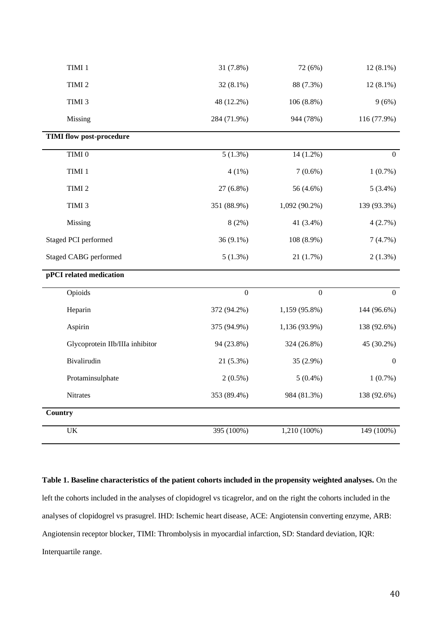| TIMI 1                            | 31 (7.8%)      | 72 (6%)       | $12(8.1\%)$      |
|-----------------------------------|----------------|---------------|------------------|
| TIMI <sub>2</sub>                 | $32(8.1\%)$    | 88 (7.3%)     | $12(8.1\%)$      |
| TIMI 3                            | 48 (12.2%)     | $106(8.8\%)$  | 9(6%)            |
| Missing                           | 284 (71.9%)    | 944 (78%)     | 116 (77.9%)      |
| <b>TIMI flow post-procedure</b>   |                |               |                  |
| TIMI 0                            | $5(1.3\%)$     | $14(1.2\%)$   | $\boldsymbol{0}$ |
| TIMI 1                            | 4(1%)          | $7(0.6\%)$    | $1(0.7\%)$       |
| TIMI <sub>2</sub>                 | 27 (6.8%)      | 56 (4.6%)     | $5(3.4\%)$       |
| TIMI <sub>3</sub>                 | 351 (88.9%)    | 1,092 (90.2%) | 139 (93.3%)      |
| Missing                           | 8(2%)          | 41 (3.4%)     | 4(2.7%)          |
| Staged PCI performed              | $36(9.1\%)$    | 108 (8.9%)    | 7(4.7%)          |
| <b>Staged CABG performed</b>      | $5(1.3\%)$     | 21(1.7%)      | $2(1.3\%)$       |
| pPCI related medication           |                |               |                  |
| Opioids                           | $\overline{0}$ | $\mathbf{0}$  | $\boldsymbol{0}$ |
| Heparin                           | 372 (94.2%)    | 1,159 (95.8%) | 144 (96.6%)      |
| Aspirin                           | 375 (94.9%)    | 1,136 (93.9%) | 138 (92.6%)      |
| Glycoprotein IIb/IIIa inhibitor   | 94 (23.8%)     | 324 (26.8%)   | 45 (30.2%)       |
| Bivalirudin                       | $21(5.3\%)$    | 35 (2.9%)     | $\boldsymbol{0}$ |
| Protaminsulphate                  | $2(0.5\%)$     | $5(0.4\%)$    | $1(0.7\%)$       |
| Nitrates                          | 353 (89.4%)    | 984 (81.3%)   | 138 (92.6%)      |
| <b>Country</b>                    |                |               |                  |
| $\ensuremath{\mathrm{UK}}\xspace$ | 395 (100%)     | 1,210 (100%)  | 149 (100%)       |

**Table 1. Baseline characteristics of the patient cohorts included in the propensity weighted analyses.** On the left the cohorts included in the analyses of clopidogrel vs ticagrelor, and on the right the cohorts included in the analyses of clopidogrel vs prasugrel. IHD: Ischemic heart disease, ACE: Angiotensin converting enzyme, ARB: Angiotensin receptor blocker, TIMI: Thrombolysis in myocardial infarction, SD: Standard deviation, IQR: Interquartile range.